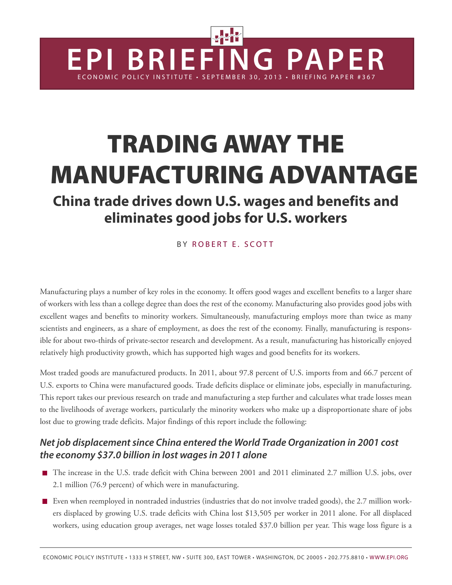# **TRADING AWAY THE MANUFACTURING ADVANTAGE**

**EPI BRIEFING PAPER**

E CONOMIC POLICY INSTITUTE • SEPTEMRER 30, 2013 • BRIEFING PAPER #361

# **China trade drives down U.S. wages and benefits and eliminates good jobs for U.S. workers**

BY ROBERT F. SCOTT

Manufacturing plays a number of key roles in the economy. It offers good wages and excellent benefits to a larger share of workers with less than a college degree than does the rest of the economy. Manufacturing also provides good jobs with excellent wages and benefits to minority workers. Simultaneously, manufacturing employs more than twice as many scientists and engineers, as a share of employment, as does the rest of the economy. Finally, manufacturing is responsible for about two-thirds of private-sector research and development. As a result, manufacturing has historically enjoyed relatively high productivity growth, which has supported high wages and good benefits for its workers.

Most traded goods are manufactured products. In 2011, about 97.8 percent of U.S. imports from and 66.7 percent of U.S. exports to China were manufactured goods. Trade deficits displace or eliminate jobs, especially in manufacturing. This report takes our previous research on trade and manufacturing a step further and calculates what trade losses mean to the livelihoods of average workers, particularly the minority workers who make up a disproportionate share of jobs lost due to growing trade deficits. Major findings of this report include the following:

### *Net job displacement since China entered the World Trade Organization in 2001 cost the economy \$37.0 billion in lost wages in 2011 alone*

- The increase in the U.S. trade deficit with China between 2001 and 2011 eliminated 2.7 million U.S. jobs, over 2.1 million (76.9 percent) of which were in manufacturing.
- Even when reemployed in nontraded industries (industries that do not involve traded goods), the 2.7 million workers displaced by growing U.S. trade deficits with China lost \$13,505 per worker in 2011 alone. For all displaced workers, using education group averages, net wage losses totaled \$37.0 billion per year. This wage loss figure is a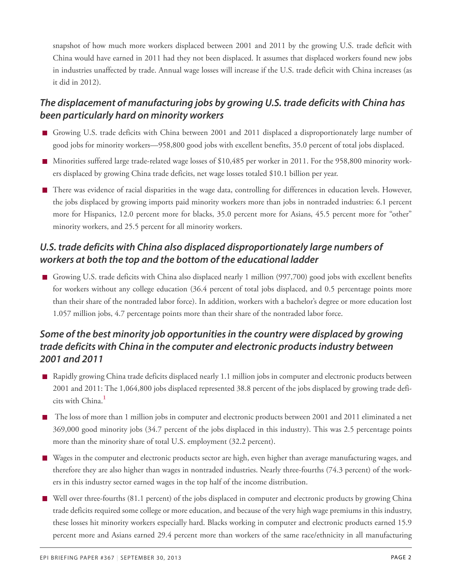snapshot of how much more workers displaced between 2001 and 2011 by the growing U.S. trade deficit with China would have earned in 2011 had they not been displaced. It assumes that displaced workers found new jobs in industries unaffected by trade. Annual wage losses will increase if the U.S. trade deficit with China increases (as it did in 2012).

### *The displacement of manufacturing jobs by growing U.S. trade deficits with China has been particularly hard on minority workers*

- Growing U.S. trade deficits with China between 2001 and 2011 displaced a disproportionately large number of good jobs for minority workers—958,800 good jobs with excellent benefits, 35.0 percent of total jobs displaced.
- Minorities suffered large trade-related wage losses of \$10,485 per worker in 2011. For the 958,800 minority workers displaced by growing China trade deficits, net wage losses totaled \$10.1 billion per year.
- There was evidence of racial disparities in the wage data, controlling for differences in education levels. However, the jobs displaced by growing imports paid minority workers more than jobs in nontraded industries: 6.1 percent more for Hispanics, 12.0 percent more for blacks, 35.0 percent more for Asians, 45.5 percent more for "other" minority workers, and 25.5 percent for all minority workers.

### *U.S. trade deficits with China also displaced disproportionately large numbers of workers at both the top and the bottom of the educational ladder*

Growing U.S. trade deficits with China also displaced nearly 1 million (997,700) good jobs with excellent benefits for workers without any college education (36.4 percent of total jobs displaced, and 0.5 percentage points more than their share of the nontraded labor force). In addition, workers with a bachelor's degree or more education lost 1.057 million jobs, 4.7 percentage points more than their share of the nontraded labor force.

### *Some of the best minority job opportunities in the country were displaced by growing trade deficits with China in the computer and electronic products industry between 2001 and 2011*

- Rapidly growing China trade deficits displaced nearly 1.1 million jobs in computer and electronic products between 2001 and 2011: The 1,064,800 jobs displaced represented 38.8 percent of the jobs displaced by growing trade deficits with China. **[1](#page-34-0)**
- <span id="page-1-0"></span>The loss of more than 1 million jobs in computer and electronic products between 2001 and 2011 eliminated a net 369,000 good minority jobs (34.7 percent of the jobs displaced in this industry). This was 2.5 percentage points more than the minority share of total U.S. employment (32.2 percent).
- Wages in the computer and electronic products sector are high, even higher than average manufacturing wages, and therefore they are also higher than wages in nontraded industries. Nearly three-fourths (74.3 percent) of the workers in this industry sector earned wages in the top half of the income distribution.
- Well over three-fourths (81.1 percent) of the jobs displaced in computer and electronic products by growing China trade deficits required some college or more education, and because of the very high wage premiums in this industry, these losses hit minority workers especially hard. Blacks working in computer and electronic products earned 15.9 percent more and Asians earned 29.4 percent more than workers of the same race/ethnicity in all manufacturing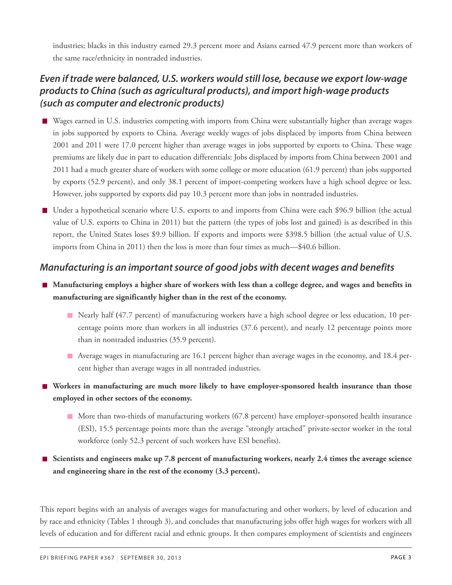industries; blacks in this industry earned 29.3 percent more and Asians earned 47.9 percent more than workers of the same race/ethnicity in nontraded industries.

### *Even if trade were balanced, U.S. workers would still lose, because we export low-wage products to China (such as agricultural products), and import high-wage products (such as computer and electronic products)*

- Wages earned in U.S. industries competing with imports from China were substantially higher than average wages in jobs supported by exports to China. Average weekly wages of jobs displaced by imports from China between 2001 and 2011 were 17.0 percent higher than average wages in jobs supported by exports to China. These wage premiums are likely due in part to education differentials: Jobs displaced by imports from China between 2001 and 2011 had a much greater share of workers with some college or more education (61.9 percent) than jobs supported by exports (52.9 percent), and only 38.1 percent of import-competing workers have a high school degree or less. However, jobs supported by exports did pay 10.3 percent more than jobs in nontraded industries.
- Under a hypothetical scenario where U.S. exports to and imports from China were each \$96.9 billion (the actual value of U.S. exports to China in 2011) but the pattern (the types of jobs lost and gained) is as described in this report, the United States loses \$9.9 billion. If exports and imports were \$398.5 billion (the actual value of U.S. imports from China in 2011) then the loss is more than four times as much—\$40.6 billion.

### *Manufacturing is an important source of good jobs with decent wages and benefits*

- Manufacturing employs a higher share of workers with less than a college degree, and wages and benefits in **manufacturing are significantly higher than in the rest of the economy.**
	- Nearly half **(**47.7 percent) of manufacturing workers have a high school degree or less education, 10 percentage points more than workers in all industries (37.6 percent), and nearly 12 percentage points more than in nontraded industries (35.9 percent).
	- Average wages in manufacturing are 16.1 percent higher than average wages in the economy, and 18.4 percent higher than average wages in all nontraded industries.
- **Workers in manufacturing are much more likely to have employer-sponsored health insurance than those employed in other sectors of the economy.**
	- **More than two-thirds of manufacturing workers (67.8 percent) have employer-sponsored health insurance** (ESI), 15.5 percentage points more than the average "strongly attached" private-sector worker in the total workforce (only 52.3 percent of such workers have ESI benefits).
- **Scientists and engineers make up 7.8 percent of manufacturing workers, nearly 2.4 times the average science and engineering share in the rest of the economy (3.3 percent).**

This report begins with an analysis of averages wages for manufacturing and other workers, by level of education and by race and ethnicity (Tables 1 through 3), and concludes that manufacturing jobs offer high wages for workers with all levels of education and for different racial and ethnic groups. It then compares employment of scientists and engineers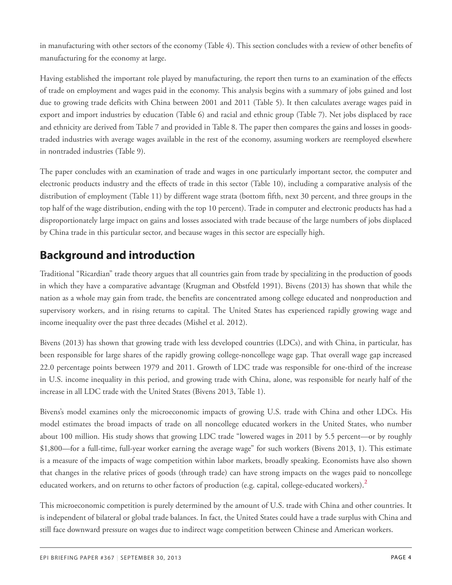in manufacturing with other sectors of the economy (Table 4). This section concludes with a review of other benefits of manufacturing for the economy at large.

Having established the important role played by manufacturing, the report then turns to an examination of the effects of trade on employment and wages paid in the economy. This analysis begins with a summary of jobs gained and lost due to growing trade deficits with China between 2001 and 2011 (Table 5). It then calculates average wages paid in export and import industries by education (Table 6) and racial and ethnic group (Table 7). Net jobs displaced by race and ethnicity are derived from Table 7 and provided in Table 8. The paper then compares the gains and losses in goodstraded industries with average wages available in the rest of the economy, assuming workers are reemployed elsewhere in nontraded industries (Table 9).

The paper concludes with an examination of trade and wages in one particularly important sector, the computer and electronic products industry and the effects of trade in this sector (Table 10), including a comparative analysis of the distribution of employment (Table 11) by different wage strata (bottom fifth, next 30 percent, and three groups in the top half of the wage distribution, ending with the top 10 percent). Trade in computer and electronic products has had a disproportionately large impact on gains and losses associated with trade because of the large numbers of jobs displaced by China trade in this particular sector, and because wages in this sector are especially high.

# **Background and introduction**

Traditional "Ricardian" trade theory argues that all countries gain from trade by specializing in the production of goods in which they have a comparative advantage (Krugman and Obstfeld 1991). Bivens (2013) has shown that while the nation as a whole may gain from trade, the benefits are concentrated among college educated and nonproduction and supervisory workers, and in rising returns to capital. The United States has experienced rapidly growing wage and income inequality over the past three decades (Mishel et al. 2012).

Bivens (2013) has shown that growing trade with less developed countries (LDCs), and with China, in particular, has been responsible for large shares of the rapidly growing college-noncollege wage gap. That overall wage gap increased 22.0 percentage points between 1979 and 2011. Growth of LDC trade was responsible for one-third of the increase in U.S. income inequality in this period, and growing trade with China, alone, was responsible for nearly half of the increase in all LDC trade with the United States (Bivens 2013, Table 1).

Bivens's model examines only the microeconomic impacts of growing U.S. trade with China and other LDCs. His model estimates the broad impacts of trade on all noncollege educated workers in the United States, who number about 100 million. His study shows that growing LDC trade "lowered wages in 2011 by 5.5 percent—or by roughly \$1,800—for a full-time, full-year worker earning the average wage" for such workers (Bivens 2013, 1). This estimate is a measure of the impacts of wage competition within labor markets, broadly speaking. Economists have also shown that changes in the relative prices of goods (through trade) can have strong impacts on the wages paid to noncollege educated workers, and on returns to other factors of production (e.g. capital, college-educated workers).**[2](#page-34-1)**

<span id="page-3-0"></span>This microeconomic competition is purely determined by the amount of U.S. trade with China and other countries. It is independent of bilateral or global trade balances. In fact, the United States could have a trade surplus with China and still face downward pressure on wages due to indirect wage competition between Chinese and American workers.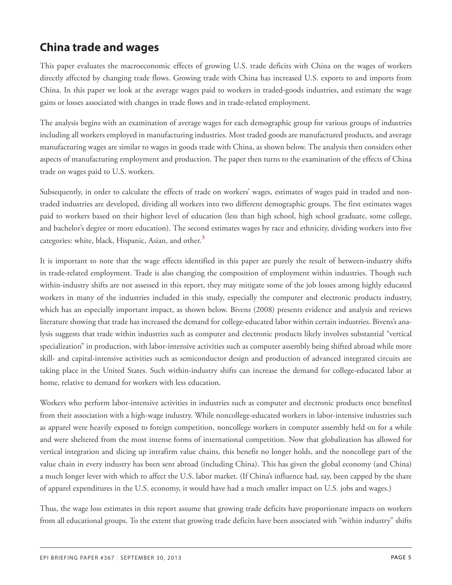# **China trade and wages**

This paper evaluates the macroeconomic effects of growing U.S. trade deficits with China on the wages of workers directly affected by changing trade flows. Growing trade with China has increased U.S. exports to and imports from China. In this paper we look at the average wages paid to workers in traded-goods industries, and estimate the wage gains or losses associated with changes in trade flows and in trade-related employment.

The analysis begins with an examination of average wages for each demographic group for various groups of industries including all workers employed in manufacturing industries. Most traded goods are manufactured products, and average manufacturing wages are similar to wages in goods trade with China, as shown below. The analysis then considers other aspects of manufacturing employment and production. The paper then turns to the examination of the effects of China trade on wages paid to U.S. workers.

Subsequently, in order to calculate the effects of trade on workers' wages, estimates of wages paid in traded and nontraded industries are developed, dividing all workers into two different demographic groups. The first estimates wages paid to workers based on their highest level of education (less than high school, high school graduate, some college, and bachelor's degree or more education). The second estimates wages by race and ethnicity, dividing workers into five categories: white, black, Hispanic, Asian, and other. **[3](#page-34-2)**

<span id="page-4-0"></span>It is important to note that the wage effects identified in this paper are purely the result of between-industry shifts in trade-related employment. Trade is also changing the composition of employment within industries. Though such within-industry shifts are not assessed in this report, they may mitigate some of the job losses among highly educated workers in many of the industries included in this study, especially the computer and electronic products industry, which has an especially important impact, as shown below. Bivens (2008) presents evidence and analysis and reviews literature showing that trade has increased the demand for college-educated labor within certain industries. Bivens's analysis suggests that trade within industries such as computer and electronic products likely involves substantial "vertical specialization" in production, with labor-intensive activities such as computer assembly being shifted abroad while more skill- and capital-intensive activities such as semiconductor design and production of advanced integrated circuits are taking place in the United States. Such within-industry shifts can increase the demand for college-educated labor at home, relative to demand for workers with less education.

Workers who perform labor-intensive activities in industries such as computer and electronic products once benefited from their association with a high-wage industry. While noncollege-educated workers in labor-intensive industries such as apparel were heavily exposed to foreign competition, noncollege workers in computer assembly held on for a while and were sheltered from the most intense forms of international competition. Now that globalization has allowed for vertical integration and slicing up intrafirm value chains, this benefit no longer holds, and the noncollege part of the value chain in every industry has been sent abroad (including China). This has given the global economy (and China) a much longer lever with which to affect the U.S. labor market. (If China's influence had, say, been capped by the share of apparel expenditures in the U.S. economy, it would have had a much smaller impact on U.S. jobs and wages.)

Thus, the wage loss estimates in this report assume that growing trade deficits have proportionate impacts on workers from all educational groups. To the extent that growing trade deficits have been associated with "within industry" shifts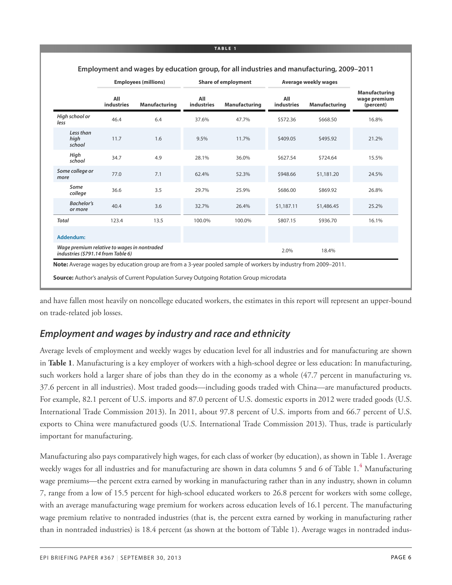|                                                                                   |                          | <b>Employees (millions)</b> |                          | <b>Share of employment</b> |                          | Average weekly wages |                                                   |
|-----------------------------------------------------------------------------------|--------------------------|-----------------------------|--------------------------|----------------------------|--------------------------|----------------------|---------------------------------------------------|
|                                                                                   | All<br><b>industries</b> | Manufacturing               | All<br><b>industries</b> | <b>Manufacturing</b>       | All<br><b>industries</b> | Manufacturing        | <b>Manufacturing</b><br>wage premium<br>(percent) |
| High school or<br>less                                                            | 46.4                     | 6.4                         | 37.6%                    | 47.7%                      | \$572.36                 | \$668.50             | 16.8%                                             |
| Less than<br>high<br>school                                                       | 11.7                     | 1.6                         | 9.5%                     | 11.7%                      | \$409.05                 | \$495.92             | 21.2%                                             |
| High<br>school                                                                    | 34.7                     | 4.9                         | 28.1%                    | 36.0%                      | \$627.54                 | \$724.64             | 15.5%                                             |
| Some college or<br>more                                                           | 77.0                     | 7.1                         | 62.4%                    | 52.3%                      | \$948.66                 | \$1,181.20           | 24.5%                                             |
| Some<br>college                                                                   | 36.6                     | 3.5                         | 29.7%                    | 25.9%                      | \$686.00                 | \$869.92             | 26.8%                                             |
| <b>Bachelor's</b><br>or more                                                      | 40.4                     | 3.6                         | 32.7%                    | 26.4%                      | \$1,187.11               | \$1,486.45           | 25.2%                                             |
| <b>Total</b>                                                                      | 123.4                    | 13.5                        | 100.0%                   | 100.0%                     | \$807.15                 | \$936.70             | 16.1%                                             |
| Addendum:                                                                         |                          |                             |                          |                            |                          |                      |                                                   |
| Wage premium relative to wages in nontraded<br>industries (\$791.14 from Table 6) |                          |                             |                          |                            | 2.0%                     | 18.4%                |                                                   |

#### **Employment and wages by education group, for all industries and manufacturing, 2009–2011**

and have fallen most heavily on noncollege educated workers, the estimates in this report will represent an upper-bound on trade-related job losses.

### *Employment and wages by industry and race and ethnicity*

Average levels of employment and weekly wages by education level for all industries and for manufacturing are shown in **Table 1**. Manufacturing is a key employer of workers with a high-school degree or less education: In manufacturing, such workers hold a larger share of jobs than they do in the economy as a whole (47.7 percent in manufacturing vs. 37.6 percent in all industries). Most traded goods—including goods traded with China—are manufactured products. For example, 82.1 percent of U.S. imports and 87.0 percent of U.S. domestic exports in 2012 were traded goods (U.S. International Trade Commission 2013). In 2011, about 97.8 percent of U.S. imports from and 66.7 percent of U.S. exports to China were manufactured goods (U.S. International Trade Commission 2013). Thus, trade is particularly important for manufacturing.

<span id="page-5-0"></span>Manufacturing also pays comparatively high wages, for each class of worker (by education), as shown in Table 1. Average weekly wages for all industries and for manufacturing are shown in data columns 5 and 6 of Table 1.**[4](#page-34-3)** Manufacturing wage premiums—the percent extra earned by working in manufacturing rather than in any industry, shown in column 7, range from a low of 15.5 percent for high-school educated workers to 26.8 percent for workers with some college, with an average manufacturing wage premium for workers across education levels of 16.1 percent. The manufacturing wage premium relative to nontraded industries (that is, the percent extra earned by working in manufacturing rather than in nontraded industries) is 18.4 percent (as shown at the bottom of Table 1). Average wages in nontraded indus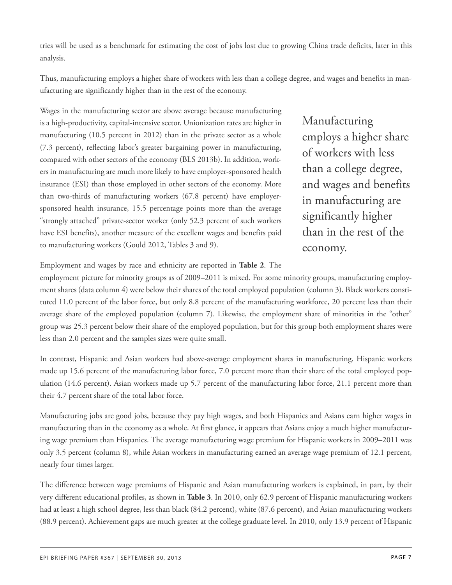tries will be used as a benchmark for estimating the cost of jobs lost due to growing China trade deficits, later in this analysis.

Thus, manufacturing employs a higher share of workers with less than a college degree, and wages and benefits in manufacturing are significantly higher than in the rest of the economy.

Wages in the manufacturing sector are above average because manufacturing is a high-productivity, capital-intensive sector. Unionization rates are higher in manufacturing (10.5 percent in 2012) than in the private sector as a whole (7.3 percent), reflecting labor's greater bargaining power in manufacturing, compared with other sectors of the economy (BLS 2013b). In addition, workers in manufacturing are much more likely to have employer-sponsored health insurance (ESI) than those employed in other sectors of the economy. More than two-thirds of manufacturing workers (67.8 percent) have employersponsored health insurance, 15.5 percentage points more than the average "strongly attached" private-sector worker (only 52.3 percent of such workers have ESI benefits), another measure of the excellent wages and benefits paid to manufacturing workers (Gould 2012, Tables 3 and 9).

Manufacturing employs a higher share of workers with less than a college degree, and wages and benefits in manufacturing are significantly higher than in the rest of the economy.

Employment and wages by race and ethnicity are reported in **Table 2**. The

employment picture for minority groups as of 2009–2011 is mixed. For some minority groups, manufacturing employment shares (data column 4) were below their shares of the total employed population (column 3). Black workers constituted 11.0 percent of the labor force, but only 8.8 percent of the manufacturing workforce, 20 percent less than their average share of the employed population (column 7). Likewise, the employment share of minorities in the "other" group was 25.3 percent below their share of the employed population, but for this group both employment shares were less than 2.0 percent and the samples sizes were quite small.

In contrast, Hispanic and Asian workers had above-average employment shares in manufacturing. Hispanic workers made up 15.6 percent of the manufacturing labor force, 7.0 percent more than their share of the total employed population (14.6 percent). Asian workers made up 5.7 percent of the manufacturing labor force, 21.1 percent more than their 4.7 percent share of the total labor force.

Manufacturing jobs are good jobs, because they pay high wages, and both Hispanics and Asians earn higher wages in manufacturing than in the economy as a whole. At first glance, it appears that Asians enjoy a much higher manufacturing wage premium than Hispanics. The average manufacturing wage premium for Hispanic workers in 2009–2011 was only 3.5 percent (column 8), while Asian workers in manufacturing earned an average wage premium of 12.1 percent, nearly four times larger.

The difference between wage premiums of Hispanic and Asian manufacturing workers is explained, in part, by their very different educational profiles, as shown in **Table 3**. In 2010, only 62.9 percent of Hispanic manufacturing workers had at least a high school degree, less than black (84.2 percent), white (87.6 percent), and Asian manufacturing workers (88.9 percent). Achievement gaps are much greater at the college graduate level. In 2010, only 13.9 percent of Hispanic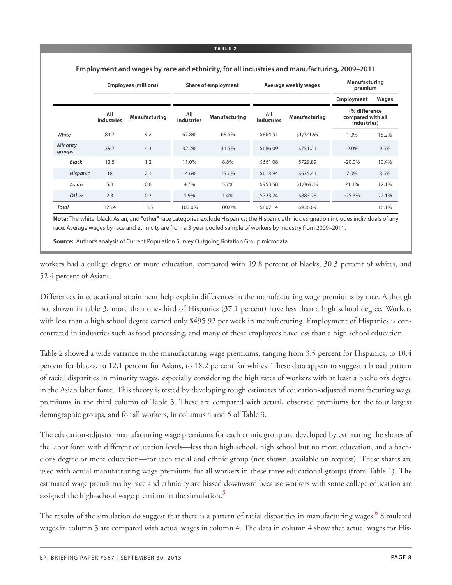#### **Employees (millions) Share of employment Average weekly wages Manufacturing premium Employment Wages All industries Manufacturing All industries Manufacturing All industries Manufacturing (% difference compared with all industries)** *White* 83.7 9.2 67.8% 68.5% \$864.51 \$1,021.99 1.0% 18.2% *Minority groups* 39.7 4.3 32.2% 31.5% \$686.09 \$751.21 -2.0% 9.5% *Black* 13.5 1.2 11.0% 8.8% \$661.08 \$729.89 -20.0% 10.4% *Hispanic* 18 2.1 14.6% 15.6% \$613.94 \$635.41 7.0% 3.5% *Asian* 5.8 0.8 4.7% 5.7% \$953.58 \$1,069.19 21.1% 12.1% *Other* 2.3 0.2 1.9% 1.4% \$723.24 \$883.28 -25.3% 22.1% **Total** 123.4 13.5 100.0% 100.0% \$807.14 \$936.69 16.1% **Note:** The white, black, Asian, and "other" race categories exclude Hispanics; the Hispanic ethnic designation includes individuals of any

**Employment and wages by race and ethnicity, for all industries and manufacturing, 2009–2011**

race. Average wages by race and ethnicity are from a 3-year pooled sample of workers by industry from 2009–2011.

**Source:** Author's analysis of Current Population Survey Outgoing Rotation Group microdata

workers had a college degree or more education, compared with 19.8 percent of blacks, 30.3 percent of whites, and 52.4 percent of Asians.

Differences in educational attainment help explain differences in the manufacturing wage premiums by race. Although not shown in table 3, more than one-third of Hispanics (37.1 percent) have less than a high school degree. Workers with less than a high school degree earned only \$495.92 per week in manufacturing. Employment of Hispanics is concentrated in industries such as food processing, and many of those employees have less than a high school education.

Table 2 showed a wide variance in the manufacturing wage premiums, ranging from 3.5 percent for Hispanics, to 10.4 percent for blacks, to 12.1 percent for Asians, to 18.2 percent for whites. These data appear to suggest a broad pattern of racial disparities in minority wages, especially considering the high rates of workers with at least a bachelor's degree in the Asian labor force. This theory is tested by developing rough estimates of education-adjusted manufacturing wage premiums in the third column of Table 3. These are compared with actual, observed premiums for the four largest demographic groups, and for all workers, in columns 4 and 5 of Table 3.

The education-adjusted manufacturing wage premiums for each ethnic group are developed by estimating the shares of the labor force with different education levels—less than high school, high school but no more education, and a bachelor's degree or more education—for each racial and ethnic group (not shown, available on request). These shares are used with actual manufacturing wage premiums for all workers in these three educational groups (from Table 1). The estimated wage premiums by race and ethnicity are biased downward because workers with some college education are assigned the high-school wage premium in the simulation. **[5](#page-34-4)**

<span id="page-7-1"></span><span id="page-7-0"></span>The results of the simulation do suggest that there is a pattern of racial disparities in manufacturing wages. **[6](#page-34-5)** Simulated wages in column 3 are compared with actual wages in column 4. The data in column 4 show that actual wages for His-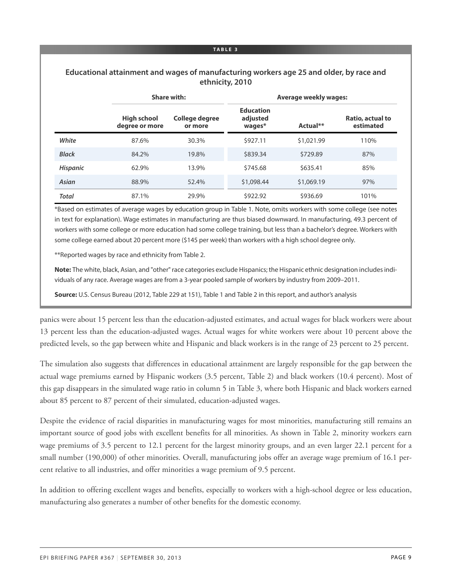### **Educational attainment and wages of manufacturing workers age 25 and older, by race and ethnicity, 2010**

|                 |                                      | <b>Share with:</b>        |                                        | <b>Average weekly wages:</b> |                               |
|-----------------|--------------------------------------|---------------------------|----------------------------------------|------------------------------|-------------------------------|
|                 | <b>High school</b><br>degree or more | College degree<br>or more | <b>Education</b><br>adjusted<br>wages* | Actual**                     | Ratio, actual to<br>estimated |
| White           | 87.6%                                | 30.3%                     | \$927.11                               | \$1,021.99                   | 110%                          |
| <b>Black</b>    | 84.2%                                | 19.8%                     | \$839.34                               | \$729.89                     | 87%                           |
| <b>Hispanic</b> | 62.9%                                | 13.9%                     | \$745.68                               | \$635.41                     | 85%                           |
| Asian           | 88.9%                                | 52.4%                     | \$1,098.44                             | \$1,069.19                   | 97%                           |
| <b>Total</b>    | 87.1%                                | 29.9%                     | \$922.92                               | \$936.69                     | 101%                          |

\*Based on estimates of average wages by education group in Table 1. Note, omits workers with some college (see notes in text for explanation). Wage estimates in manufacturing are thus biased downward. In manufacturing, 49.3 percent of workers with some college or more education had some college training, but less than a bachelor's degree. Workers with some college earned about 20 percent more (\$145 per week) than workers with a high school degree only.

\*\*Reported wages by race and ethnicity from Table 2.

**Note:** The white, black, Asian, and "other" race categories exclude Hispanics; the Hispanic ethnic designation includesindividuals of any race. Average wages are from a 3-year pooled sample of workers by industry from 2009–2011.

**Source:** U.S. Census Bureau (2012, Table 229 at 151), Table 1 and Table 2 in this report, and author's analysis

panics were about 15 percent less than the education-adjusted estimates, and actual wages for black workers were about 13 percent less than the education-adjusted wages. Actual wages for white workers were about 10 percent above the predicted levels, so the gap between white and Hispanic and black workers is in the range of 23 percent to 25 percent.

The simulation also suggests that differences in educational attainment are largely responsible for the gap between the actual wage premiums earned by Hispanic workers (3.5 percent, Table 2) and black workers (10.4 percent). Most of this gap disappears in the simulated wage ratio in column 5 in Table 3, where both Hispanic and black workers earned about 85 percent to 87 percent of their simulated, education-adjusted wages.

Despite the evidence of racial disparities in manufacturing wages for most minorities, manufacturing still remains an important source of good jobs with excellent benefits for all minorities. As shown in Table 2, minority workers earn wage premiums of 3.5 percent to 12.1 percent for the largest minority groups, and an even larger 22.1 percent for a small number (190,000) of other minorities. Overall, manufacturing jobs offer an average wage premium of 16.1 percent relative to all industries, and offer minorities a wage premium of 9.5 percent.

In addition to offering excellent wages and benefits, especially to workers with a high-school degree or less education, manufacturing also generates a number of other benefits for the domestic economy.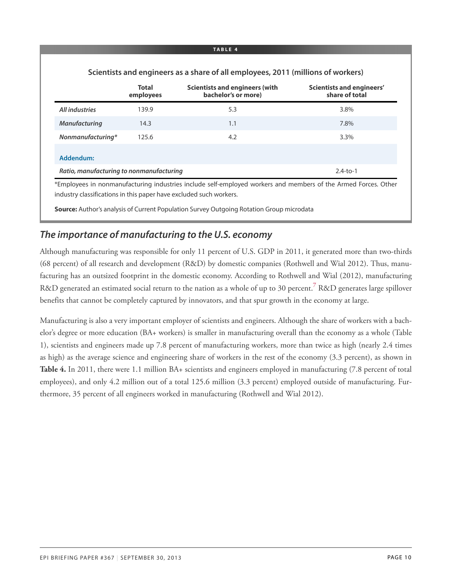| Scientists and engineers as a share of all employees, 2011 (millions of workers) |                           |                                                              |                                             |  |  |  |  |  |
|----------------------------------------------------------------------------------|---------------------------|--------------------------------------------------------------|---------------------------------------------|--|--|--|--|--|
|                                                                                  | <b>Total</b><br>employees | <b>Scientists and engineers (with</b><br>bachelor's or more) | Scientists and engineers'<br>share of total |  |  |  |  |  |
| All industries                                                                   | 139.9                     | 5.3                                                          | 3.8%                                        |  |  |  |  |  |
| <b>Manufacturing</b>                                                             | 14.3                      | 1.1                                                          | 7.8%                                        |  |  |  |  |  |
| Nonmanufacturing*                                                                | 125.6                     | 4.2                                                          | 3.3%                                        |  |  |  |  |  |
| Addendum:                                                                        |                           |                                                              |                                             |  |  |  |  |  |
| Ratio, manufacturing to nonmanufacturing                                         |                           |                                                              | $2.4-to-1$                                  |  |  |  |  |  |

**Source:** Author's analysis of Current Population Survey Outgoing Rotation Group microdata

### *The importance of manufacturing to the U.S. economy*

<span id="page-9-0"></span>Although manufacturing was responsible for only 11 percent of U.S. GDP in 2011, it generated more than two-thirds (68 percent) of all research and development (R&D) by domestic companies (Rothwell and Wial 2012). Thus, manufacturing has an outsized footprint in the domestic economy. According to Rothwell and Wial (2012), manufacturing R&D generated an estimated social return to the nation as a whole of up to 30 percent. **[7](#page-34-6)** R&D generates large spillover benefits that cannot be completely captured by innovators, and that spur growth in the economy at large.

Manufacturing is also a very important employer of scientists and engineers. Although the share of workers with a bachelor's degree or more education (BA+ workers) is smaller in manufacturing overall than the economy as a whole (Table 1), scientists and engineers made up 7.8 percent of manufacturing workers, more than twice as high (nearly 2.4 times as high) as the average science and engineering share of workers in the rest of the economy (3.3 percent), as shown in **Table 4.** In 2011, there were 1.1 million BA+ scientists and engineers employed in manufacturing (7.8 percent of total employees), and only 4.2 million out of a total 125.6 million (3.3 percent) employed outside of manufacturing. Furthermore, 35 percent of all engineers worked in manufacturing (Rothwell and Wial 2012).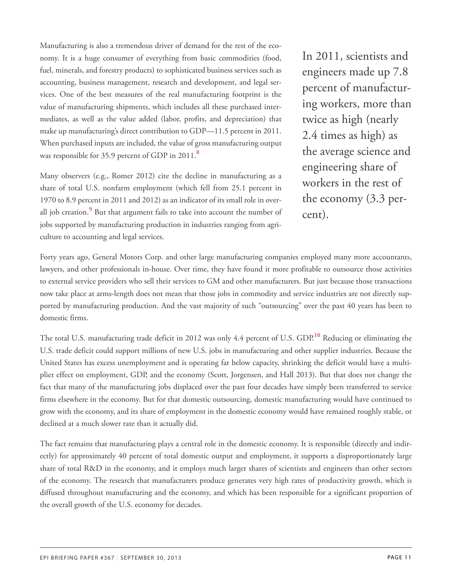Manufacturing is also a tremendous driver of demand for the rest of the economy. It is a huge consumer of everything from basic commodities (food, fuel, minerals, and forestry products) to sophisticated business services such as accounting, business management, research and development, and legal services. One of the best measures of the real manufacturing footprint is the value of manufacturing shipments, which includes all these purchased intermediates, as well as the value added (labor, profits, and depreciation) that make up manufacturing's direct contribution to GDP—11.5 percent in 2011. When purchased inputs are included, the value of gross manufacturing output was responsible for 35.9 percent of GDP in 2011.**[8](#page-34-7)**

<span id="page-10-1"></span><span id="page-10-0"></span>Many observers (e.g., Romer 2012) cite the decline in manufacturing as a share of total U.S. nonfarm employment (which fell from 25.1 percent in 1970 to 8.9 percent in 2011 and 2012) as an indicator of its small role in overall job creation. **[9](#page-35-0)** But that argument fails to take into account the number of jobs supported by manufacturing production in industries ranging from agriculture to accounting and legal services.

In 2011, scientists and engineers made up 7.8 percent of manufacturing workers, more than twice as high (nearly 2.4 times as high) as the average science and engineering share of workers in the rest of the economy (3.3 percent).

Forty years ago, General Motors Corp. and other large manufacturing companies employed many more accountants, lawyers, and other professionals in-house. Over time, they have found it more profitable to outsource those activities to external service providers who sell their services to GM and other manufacturers. But just because those transactions now take place at arms-length does not mean that those jobs in commodity and service industries are not directly supported by manufacturing production. And the vast majority of such "outsourcing" over the past 40 years has been to domestic firms.

<span id="page-10-2"></span>The total U.S. manufacturing trade deficit in 2012 was only 4.4 percent of U.S. GDP. **[10](#page-35-1)** Reducing or eliminating the U.S. trade deficit could support millions of new U.S. jobs in manufacturing and other supplier industries. Because the United States has excess unemployment and is operating far below capacity, shrinking the deficit would have a multiplier effect on employment, GDP, and the economy (Scott, Jorgensen, and Hall 2013). But that does not change the fact that many of the manufacturing jobs displaced over the past four decades have simply been transferred to service firms elsewhere in the economy. But for that domestic outsourcing, domestic manufacturing would have continued to grow with the economy, and its share of employment in the domestic economy would have remained roughly stable, or declined at a much slower rate than it actually did.

The fact remains that manufacturing plays a central role in the domestic economy. It is responsible (directly and indirectly) for approximately 40 percent of total domestic output and employment, it supports a disproportionately large share of total R&D in the economy, and it employs much larger shares of scientists and engineers than other sectors of the economy. The research that manufacturers produce generates very high rates of productivity growth, which is diffused throughout manufacturing and the economy, and which has been responsible for a significant proportion of the overall growth of the U.S. economy for decades.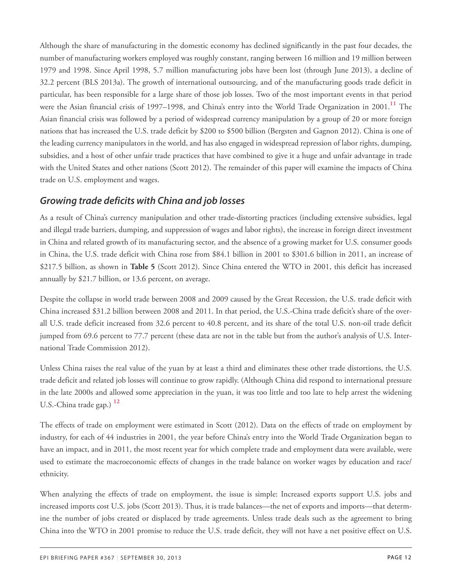<span id="page-11-0"></span>Although the share of manufacturing in the domestic economy has declined significantly in the past four decades, the number of manufacturing workers employed was roughly constant, ranging between 16 million and 19 million between 1979 and 1998. Since April 1998, 5.7 million manufacturing jobs have been lost (through June 2013), a decline of 32.2 percent (BLS 2013a). The growth of international outsourcing, and of the manufacturing goods trade deficit in particular, has been responsible for a large share of those job losses. Two of the most important events in that period were the Asian financial crisis of 1997–1998, and China's entry into the World Trade Organization in 2001.**[11](#page-35-2)** The Asian financial crisis was followed by a period of widespread currency manipulation by a group of 20 or more foreign nations that has increased the U.S. trade deficit by \$200 to \$500 billion (Bergsten and Gagnon 2012). China is one of the leading currency manipulators in the world, and has also engaged in widespread repression of labor rights, dumping, subsidies, and a host of other unfair trade practices that have combined to give it a huge and unfair advantage in trade with the United States and other nations (Scott 2012). The remainder of this paper will examine the impacts of China trade on U.S. employment and wages.

### *Growing trade deficits with China and job losses*

As a result of China's currency manipulation and other trade-distorting practices (including extensive subsidies, legal and illegal trade barriers, dumping, and suppression of wages and labor rights), the increase in foreign direct investment in China and related growth of its manufacturing sector, and the absence of a growing market for U.S. consumer goods in China, the U.S. trade deficit with China rose from \$84.1 billion in 2001 to \$301.6 billion in 2011, an increase of \$217.5 billion, as shown in **Table 5** (Scott 2012). Since China entered the WTO in 2001, this deficit has increased annually by \$21.7 billion, or 13.6 percent, on average.

Despite the collapse in world trade between 2008 and 2009 caused by the Great Recession, the U.S. trade deficit with China increased \$31.2 billion between 2008 and 2011. In that period, the U.S.-China trade deficit's share of the overall U.S. trade deficit increased from 32.6 percent to 40.8 percent, and its share of the total U.S. non-oil trade deficit jumped from 69.6 percent to 77.7 percent (these data are not in the table but from the author's analysis of U.S. International Trade Commission 2012).

Unless China raises the real value of the yuan by at least a third and eliminates these other trade distortions, the U.S. trade deficit and related job losses will continue to grow rapidly. (Although China did respond to international pressure in the late 2000s and allowed some appreciation in the yuan, it was too little and too late to help arrest the widening U.S.-China trade gap.) **[12](#page-35-3)**

<span id="page-11-1"></span>The effects of trade on employment were estimated in Scott (2012). Data on the effects of trade on employment by industry, for each of 44 industries in 2001, the year before China's entry into the World Trade Organization began to have an impact, and in 2011, the most recent year for which complete trade and employment data were available, were used to estimate the macroeconomic effects of changes in the trade balance on worker wages by education and race/ ethnicity.

When analyzing the effects of trade on employment, the issue is simple: Increased exports support U.S. jobs and increased imports cost U.S. jobs (Scott 2013). Thus, it is trade balances—the net of exports and imports—that determine the number of jobs created or displaced by trade agreements. Unless trade deals such as the agreement to bring China into the WTO in 2001 promise to reduce the U.S. trade deficit, they will not have a net positive effect on U.S.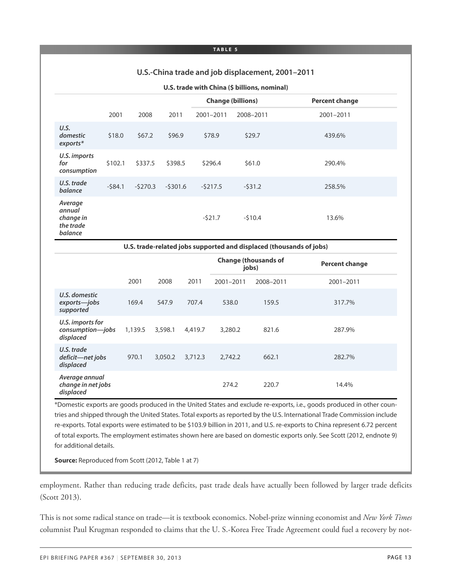#### **U.S.-China trade and job displacement, 2001–2011**

#### **U.S. trade with China (\$ billions, nominal)**

|                                                        |          |           |           |           | <b>Change (billions)</b> | <b>Percent change</b> |
|--------------------------------------------------------|----------|-----------|-----------|-----------|--------------------------|-----------------------|
|                                                        | 2001     | 2008      | 2011      | 2001-2011 | 2008-2011                | 2001-2011             |
| U.S.<br>domestic<br>exports*                           | \$18.0   | \$67.2\$  | \$96.9    | \$78.9    | \$29.7                   | 439.6%                |
| U.S. imports<br>for<br>consumption                     | \$102.1  | \$337.5   | \$398.5   | \$296.4   | \$61.0                   | 290.4%                |
| U.S. trade<br>balance                                  | $-584.1$ | $-5270.3$ | $-5301.6$ | $-5217.5$ | $-531.2$                 | 258.5%                |
| Average<br>annual<br>change in<br>the trade<br>balance |          |           |           | $-521.7$  | $-510.4$                 | 13.6%                 |

**U.S. trade-related jobs supported and displaced (thousands of jobs)**

|                                                   |         |         |         | jobs)     | <b>Change (thousands of</b> | <b>Percent change</b> |
|---------------------------------------------------|---------|---------|---------|-----------|-----------------------------|-----------------------|
|                                                   | 2001    | 2008    | 2011    | 2001-2011 | 2008-2011                   | 2001-2011             |
| U.S. domestic<br>exports-jobs<br>supported        | 169.4   | 547.9   | 707.4   | 538.0     | 159.5                       | 317.7%                |
| U.S. imports for<br>consumption-jobs<br>displaced | 1,139.5 | 3,598.1 | 4,419.7 | 3,280.2   | 821.6                       | 287.9%                |
| U.S. trade<br>deficit-net jobs<br>displaced       | 970.1   | 3,050.2 | 3,712.3 | 2,742.2   | 662.1                       | 282.7%                |
| Average annual<br>change in net jobs<br>displaced |         |         |         | 274.2     | 220.7                       | 14.4%                 |

\*Domestic exports are goods produced in the United States and exclude re-exports, i.e., goods produced in other countries and shipped through the United States. Total exports as reported by the U.S. International Trade Commission include re-exports. Total exports were estimated to be \$103.9 billion in 2011, and U.S. re-exports to China represent 6.72 percent of total exports. The employment estimates shown here are based on domestic exports only. See Scott (2012, endnote 9) for additional details.

**Source:** Reproduced from Scott (2012, Table 1 at 7)

employment. Rather than reducing trade deficits, past trade deals have actually been followed by larger trade deficits (Scott 2013).

This is not some radical stance on trade—it is textbook economics. Nobel-prize winning economist and *New York Times* columnist Paul Krugman responded to claims that the U. S.-Korea Free Trade Agreement could fuel a recovery by not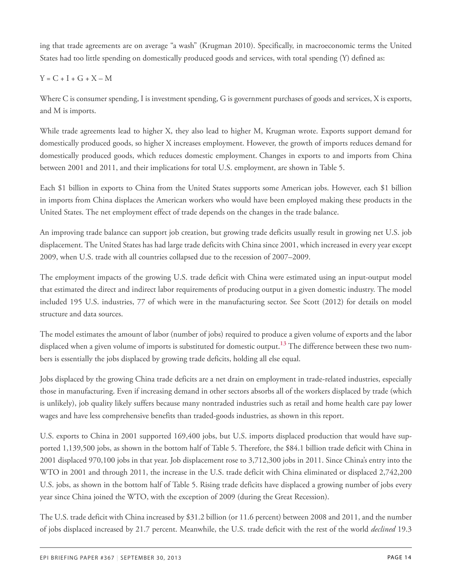ing that trade agreements are on average "a wash" (Krugman 2010). Specifically, in macroeconomic terms the United States had too little spending on domestically produced goods and services, with total spending (Y) defined as:

### $Y = C + I + G + X - M$

Where C is consumer spending, I is investment spending, G is government purchases of goods and services, X is exports, and M is imports.

While trade agreements lead to higher X, they also lead to higher M, Krugman wrote. Exports support demand for domestically produced goods, so higher X increases employment. However, the growth of imports reduces demand for domestically produced goods, which reduces domestic employment. Changes in exports to and imports from China between 2001 and 2011, and their implications for total U.S. employment, are shown in Table 5.

Each \$1 billion in exports to China from the United States supports some American jobs. However, each \$1 billion in imports from China displaces the American workers who would have been employed making these products in the United States. The net employment effect of trade depends on the changes in the trade balance.

An improving trade balance can support job creation, but growing trade deficits usually result in growing net U.S. job displacement. The United States has had large trade deficits with China since 2001, which increased in every year except 2009, when U.S. trade with all countries collapsed due to the recession of 2007–2009.

The employment impacts of the growing U.S. trade deficit with China were estimated using an input-output model that estimated the direct and indirect labor requirements of producing output in a given domestic industry. The model included 195 U.S. industries, 77 of which were in the manufacturing sector. See Scott (2012) for details on model structure and data sources.

<span id="page-13-0"></span>The model estimates the amount of labor (number of jobs) required to produce a given volume of exports and the labor displaced when a given volume of imports is substituted for domestic output. **[13](#page-35-4)** The difference between these two numbers is essentially the jobs displaced by growing trade deficits, holding all else equal.

Jobs displaced by the growing China trade deficits are a net drain on employment in trade-related industries, especially those in manufacturing. Even if increasing demand in other sectors absorbs all of the workers displaced by trade (which is unlikely), job quality likely suffers because many nontraded industries such as retail and home health care pay lower wages and have less comprehensive benefits than traded-goods industries, as shown in this report.

U.S. exports to China in 2001 supported 169,400 jobs, but U.S. imports displaced production that would have supported 1,139,500 jobs, as shown in the bottom half of Table 5. Therefore, the \$84.1 billion trade deficit with China in 2001 displaced 970,100 jobs in that year. Job displacement rose to 3,712,300 jobs in 2011. Since China's entry into the WTO in 2001 and through 2011, the increase in the U.S. trade deficit with China eliminated or displaced 2,742,200 U.S. jobs, as shown in the bottom half of Table 5. Rising trade deficits have displaced a growing number of jobs every year since China joined the WTO, with the exception of 2009 (during the Great Recession).

The U.S. trade deficit with China increased by \$31.2 billion (or 11.6 percent) between 2008 and 2011, and the number of jobs displaced increased by 21.7 percent. Meanwhile, the U.S. trade deficit with the rest of the world *declined* 19.3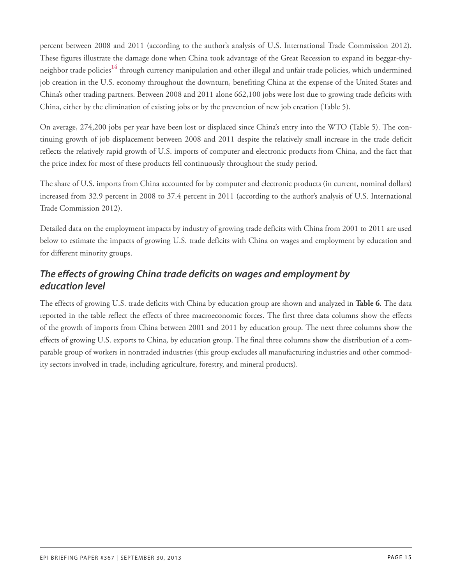<span id="page-14-0"></span>percent between 2008 and 2011 (according to the author's analysis of U.S. International Trade Commission 2012). These figures illustrate the damage done when China took advantage of the Great Recession to expand its beggar-thyneighbor trade policies **[14](#page-35-5)** through currency manipulation and other illegal and unfair trade policies, which undermined job creation in the U.S. economy throughout the downturn, benefiting China at the expense of the United States and China's other trading partners. Between 2008 and 2011 alone 662,100 jobs were lost due to growing trade deficits with China, either by the elimination of existing jobs or by the prevention of new job creation (Table 5).

On average, 274,200 jobs per year have been lost or displaced since China's entry into the WTO (Table 5). The continuing growth of job displacement between 2008 and 2011 despite the relatively small increase in the trade deficit reflects the relatively rapid growth of U.S. imports of computer and electronic products from China, and the fact that the price index for most of these products fell continuously throughout the study period.

The share of U.S. imports from China accounted for by computer and electronic products (in current, nominal dollars) increased from 32.9 percent in 2008 to 37.4 percent in 2011 (according to the author's analysis of U.S. International Trade Commission 2012).

Detailed data on the employment impacts by industry of growing trade deficits with China from 2001 to 2011 are used below to estimate the impacts of growing U.S. trade deficits with China on wages and employment by education and for different minority groups.

### *The effects of growing China trade deficits on wages and employment by education level*

The effects of growing U.S. trade deficits with China by education group are shown and analyzed in **Table 6**. The data reported in the table reflect the effects of three macroeconomic forces. The first three data columns show the effects of the growth of imports from China between 2001 and 2011 by education group. The next three columns show the effects of growing U.S. exports to China, by education group. The final three columns show the distribution of a comparable group of workers in nontraded industries (this group excludes all manufacturing industries and other commodity sectors involved in trade, including agriculture, forestry, and mineral products).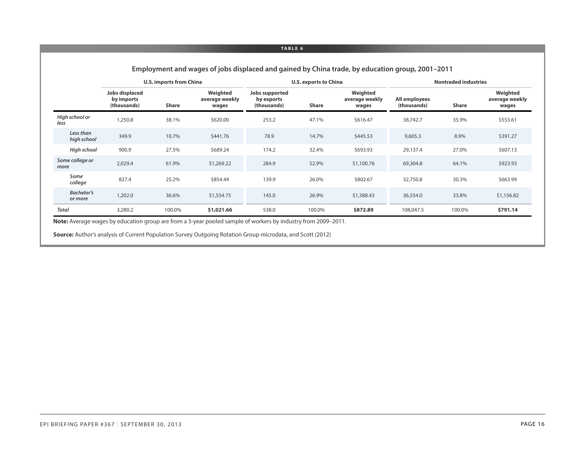|                              |                                             | U.S. imports from China |                                     |                                             | <b>U.S. exports to China</b> |                                     |                              | <b>Nontraded industries</b> |                                     |
|------------------------------|---------------------------------------------|-------------------------|-------------------------------------|---------------------------------------------|------------------------------|-------------------------------------|------------------------------|-----------------------------|-------------------------------------|
|                              | Jobs displaced<br>by imports<br>(thousands) | <b>Share</b>            | Weighted<br>average weekly<br>wages | Jobs supported<br>by exports<br>(thousands) | <b>Share</b>                 | Weighted<br>average weekly<br>wages | All employees<br>(thousands) | <b>Share</b>                | Weighted<br>average weekly<br>wages |
| High school or<br>less       | 1,250.8                                     | 38.1%                   | \$620.00                            | 253.2                                       | 47.1%                        | \$616.47                            | 38,742.7                     | 35.9%                       | \$553.61                            |
| Less than<br>high school     | 349.9                                       | 10.7%                   | \$441.76                            | 78.9                                        | 14.7%                        | \$445.53                            | 9,605.3                      | 8.9%                        | \$391.27                            |
| High school                  | 900.9                                       | 27.5%                   | \$689.24                            | 174.2                                       | 32.4%                        | \$693.93                            | 29,137.4                     | 27.0%                       | \$607.13                            |
| Some college or<br>more      | 2,029.4                                     | 61.9%                   | \$1,269.22                          | 284.9                                       | 52.9%                        | \$1,100.76                          | 69,304.8                     | 64.1%                       | \$923.93                            |
| Some<br>college              | 827.4                                       | 25.2%                   | \$854.44                            | 139.9                                       | 26.0%                        | \$802.67                            | 32,750.8                     | 30.3%                       | \$663.99                            |
| <b>Bachelor's</b><br>or more | 1,202.0                                     | 36.6%                   | \$1,554.75                          | 145.0                                       | 26.9%                        | \$1,388.43                          | 36,554.0                     | 33.8%                       | \$1,156.82                          |
| <b>Total</b>                 | 3,280.2                                     | 100.0%                  | \$1,021.66                          | 538.0                                       | 100.0%                       | \$872.89                            | 108,047.5                    | 100.0%                      | \$791.14                            |

**Employment and wages of jobs displaced and gained by China trade, by education group, 2001–2011**

**Note:** Average wages by education group are from a 3-year pooled sample of workers by industry from 2009–2011.

**Source:** Author's analysis of Current Population Survey Outgoing Rotation Group microdata, and Scott (2012)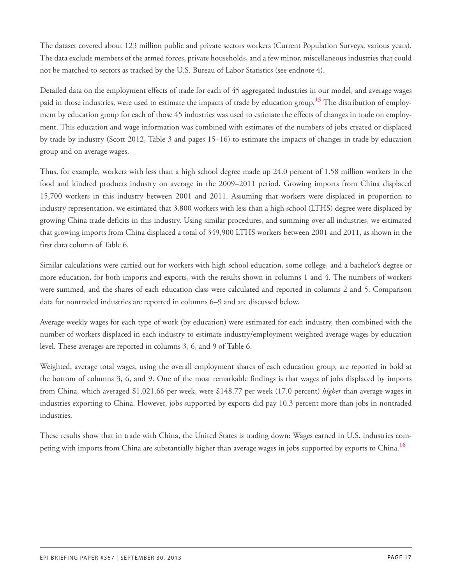The dataset covered about 123 million public and private sectors workers (Current Population Surveys, various years). The data exclude members of the armed forces, private households, and a few minor, miscellaneous industries that could not be matched to sectors as tracked by the U.S. Bureau of Labor Statistics (see endnote 4).

<span id="page-16-0"></span>Detailed data on the employment effects of trade for each of 45 aggregated industries in our model, and average wages paid in those industries, were used to estimate the impacts of trade by education group. **[15](#page-35-6)** The distribution of employment by education group for each of those 45 industries was used to estimate the effects of changes in trade on employment. This education and wage information was combined with estimates of the numbers of jobs created or displaced by trade by industry (Scott 2012, Table 3 and pages 15–16) to estimate the impacts of changes in trade by education group and on average wages.

Thus, for example, workers with less than a high school degree made up 24.0 percent of 1.58 million workers in the food and kindred products industry on average in the 2009–2011 period. Growing imports from China displaced 15,700 workers in this industry between 2001 and 2011. Assuming that workers were displaced in proportion to industry representation, we estimated that 3,800 workers with less than a high school (LTHS) degree were displaced by growing China trade deficits in this industry. Using similar procedures, and summing over all industries, we estimated that growing imports from China displaced a total of 349,900 LTHS workers between 2001 and 2011, as shown in the first data column of Table 6.

Similar calculations were carried out for workers with high school education, some college, and a bachelor's degree or more education, for both imports and exports, with the results shown in columns 1 and 4. The numbers of workers were summed, and the shares of each education class were calculated and reported in columns 2 and 5. Comparison data for nontraded industries are reported in columns 6–9 and are discussed below.

Average weekly wages for each type of work (by education) were estimated for each industry, then combined with the number of workers displaced in each industry to estimate industry/employment weighted average wages by education level. These averages are reported in columns 3, 6, and 9 of Table 6.

Weighted, average total wages, using the overall employment shares of each education group, are reported in bold at the bottom of columns 3, 6, and 9. One of the most remarkable findings is that wages of jobs displaced by imports from China, which averaged \$1,021.66 per week, were \$148.77 per week (17.0 percent) *higher* than average wages in industries exporting to China. However, jobs supported by exports did pay 10.3 percent more than jobs in nontraded industries.

<span id="page-16-1"></span>These results show that in trade with China, the United States is trading down: Wages earned in U.S. industries competing with imports from China are substantially higher than average wages in jobs supported by exports to China. **[16](#page-35-7)**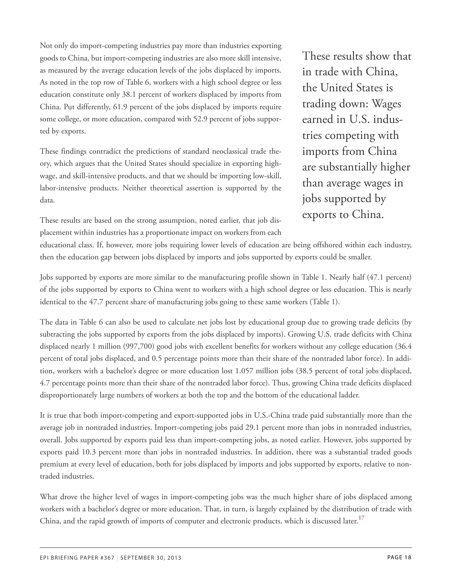Not only do import-competing industries pay more than industries exporting goods to China, but import-competing industries are also more skill intensive, as measured by the average education levels of the jobs displaced by imports. As noted in the top row of Table 6, workers with a high school degree or less education constitute only 38.1 percent of workers displaced by imports from China. Put differently, 61.9 percent of the jobs displaced by imports require some college, or more education, compared with 52.9 percent of jobs supported by exports.

These findings contradict the predictions of standard neoclassical trade theory, which argues that the United States should specialize in exporting highwage, and skill-intensive products, and that we should be importing low-skill, labor-intensive products. Neither theoretical assertion is supported by the data.

These results are based on the strong assumption, noted earlier, that job displacement within industries has a proportionate impact on workers from each These results show that in trade with China, the United States is trading down: Wages earned in U.S. industries competing with imports from China are substantially higher than average wages in jobs supported by exports to China.

educational class. If, however, more jobs requiring lower levels of education are being offshored within each industry, then the education gap between jobs displaced by imports and jobs supported by exports could be smaller.

Jobs supported by exports are more similar to the manufacturing profile shown in Table 1. Nearly half (47.1 percent) of the jobs supported by exports to China went to workers with a high school degree or less education. This is nearly identical to the 47.7 percent share of manufacturing jobs going to these same workers (Table 1).

The data in Table 6 can also be used to calculate net jobs lost by educational group due to growing trade deficits (by subtracting the jobs supported by exports from the jobs displaced by imports). Growing U.S. trade deficits with China displaced nearly 1 million (997,700) good jobs with excellent benefits for workers without any college education (36.4 percent of total jobs displaced, and 0.5 percentage points more than their share of the nontraded labor force). In addition, workers with a bachelor's degree or more education lost 1.057 million jobs (38.5 percent of total jobs displaced, 4.7 percentage points more than their share of the nontraded labor force). Thus, growing China trade deficits displaced disproportionately large numbers of workers at both the top and the bottom of the educational ladder.

It is true that both import-competing and export-supported jobs in U.S.-China trade paid substantially more than the average job in nontraded industries. Import-competing jobs paid 29.1 percent more than jobs in nontraded industries, overall. Jobs supported by exports paid less than import-competing jobs, as noted earlier. However, jobs supported by exports paid 10.3 percent more than jobs in nontraded industries. In addition, there was a substantial traded goods premium at every level of education, both for jobs displaced by imports and jobs supported by exports, relative to nontraded industries.

<span id="page-17-0"></span>What drove the higher level of wages in import-competing jobs was the much higher share of jobs displaced among workers with a bachelor's degree or more education. That, in turn, is largely explained by the distribution of trade with China, and the rapid growth of imports of computer and electronic products, which is discussed later. **[17](#page-35-8)**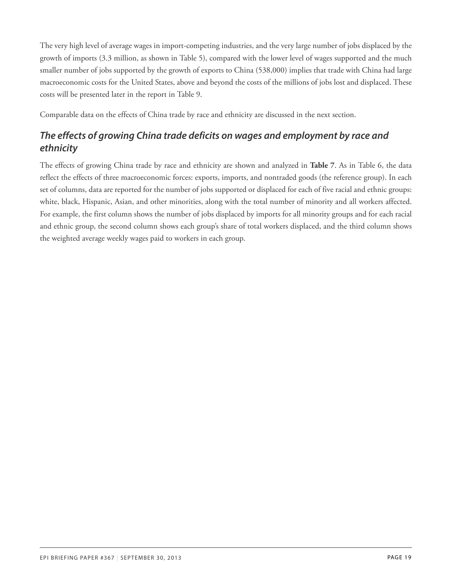The very high level of average wages in import-competing industries, and the very large number of jobs displaced by the growth of imports (3.3 million, as shown in Table 5), compared with the lower level of wages supported and the much smaller number of jobs supported by the growth of exports to China (538,000) implies that trade with China had large macroeconomic costs for the United States, above and beyond the costs of the millions of jobs lost and displaced. These costs will be presented later in the report in Table 9.

Comparable data on the effects of China trade by race and ethnicity are discussed in the next section.

### *The effects of growing China trade deficits on wages and employment by race and ethnicity*

The effects of growing China trade by race and ethnicity are shown and analyzed in **Table 7**. As in Table 6, the data reflect the effects of three macroeconomic forces: exports, imports, and nontraded goods (the reference group). In each set of columns, data are reported for the number of jobs supported or displaced for each of five racial and ethnic groups: white, black, Hispanic, Asian, and other minorities, along with the total number of minority and all workers affected. For example, the first column shows the number of jobs displaced by imports for all minority groups and for each racial and ethnic group, the second column shows each group's share of total workers displaced, and the third column shows the weighted average weekly wages paid to workers in each group.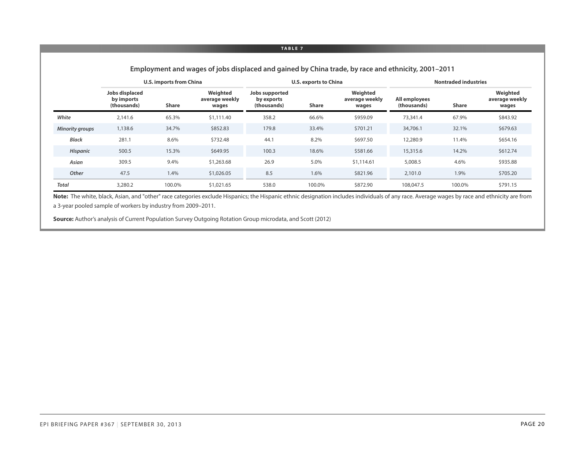|                        |                                             | <b>U.S. imports from China</b> |                                     | <b>U.S. exports to China</b>                |              |                                     |                              | <b>Nontraded industries</b> |                                     |  |
|------------------------|---------------------------------------------|--------------------------------|-------------------------------------|---------------------------------------------|--------------|-------------------------------------|------------------------------|-----------------------------|-------------------------------------|--|
|                        | Jobs displaced<br>by imports<br>(thousands) | Share                          | Weighted<br>average weekly<br>wages | Jobs supported<br>by exports<br>(thousands) | <b>Share</b> | Weighted<br>average weekly<br>wages | All employees<br>(thousands) | <b>Share</b>                | Weighted<br>average weekly<br>wages |  |
| White                  | 2.141.6                                     | 65.3%                          | \$1,111.40                          | 358.2                                       | 66.6%        | \$959.09                            | 73,341.4                     | 67.9%                       | \$843.92                            |  |
| <b>Minority groups</b> | 1,138.6                                     | 34.7%                          | \$852.83                            | 179.8                                       | 33.4%        | \$701.21                            | 34,706.1                     | 32.1%                       | \$679.63                            |  |
| <b>Black</b>           | 281.1                                       | 8.6%                           | \$732.48                            | 44.1                                        | 8.2%         | \$697.50                            | 12,280.9                     | 11.4%                       | \$654.16                            |  |
| <b>Hispanic</b>        | 500.5                                       | 15.3%                          | \$649.95                            | 100.3                                       | 18.6%        | \$581.66                            | 15,315.6                     | 14.2%                       | \$612.74                            |  |
| Asian                  | 309.5                                       | 9.4%                           | \$1,263.68                          | 26.9                                        | 5.0%         | \$1,114.61                          | 5,008.5                      | 4.6%                        | \$935.88                            |  |
| Other                  | 47.5                                        | 1.4%                           | \$1,026.05                          | 8.5                                         | 1.6%         | \$821.96                            | 2,101.0                      | 1.9%                        | \$705.20                            |  |
| <b>Total</b>           | 3,280.2                                     | 100.0%                         | \$1,021.65                          | 538.0                                       | 100.0%       | \$872.90                            | 108,047.5                    | 100.0%                      | \$791.15                            |  |

**Employment and wages of jobs displaced and gained by China trade, by race and ethnicity, 2001–2011**

Note: The white, black, Asian, and "other" race categories exclude Hispanics; the Hispanic ethnic designation includes individuals of any race. Average wages by race and ethnicity are from a 3-year pooled sample of workers by industry from 2009–2011.

**Source:** Author's analysis of Current Population Survey Outgoing Rotation Group microdata, and Scott (2012)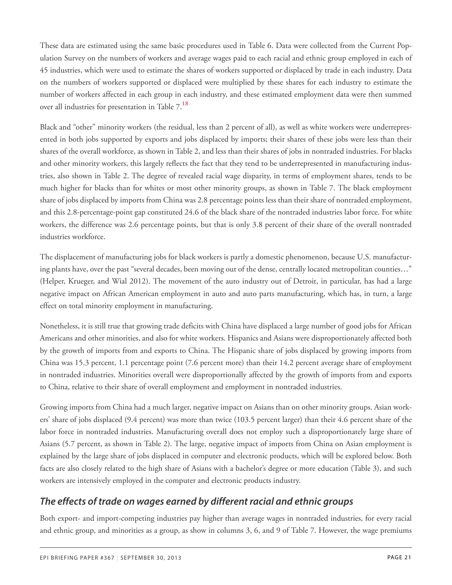These data are estimated using the same basic procedures used in Table 6. Data were collected from the Current Population Survey on the numbers of workers and average wages paid to each racial and ethnic group employed in each of 45 industries, which were used to estimate the shares of workers supported or displaced by trade in each industry. Data on the numbers of workers supported or displaced were multiplied by these shares for each industry to estimate the number of workers affected in each group in each industry, and these estimated employment data were then summed over all industries for presentation in Table 7.**[18](#page-35-9)**

<span id="page-20-0"></span>Black and "other" minority workers (the residual, less than 2 percent of all), as well as white workers were underrepresented in both jobs supported by exports and jobs displaced by imports; their shares of these jobs were less than their shares of the overall workforce, as shown in Table 2, and less than their shares of jobs in nontraded industries. For blacks and other minority workers, this largely reflects the fact that they tend to be underrepresented in manufacturing industries, also shown in Table 2. The degree of revealed racial wage disparity, in terms of employment shares, tends to be much higher for blacks than for whites or most other minority groups, as shown in Table 7. The black employment share of jobs displaced by imports from China was 2.8 percentage points less than their share of nontraded employment, and this 2.8-percentage-point gap constituted 24.6 of the black share of the nontraded industries labor force. For white workers, the difference was 2.6 percentage points, but that is only 3.8 percent of their share of the overall nontraded industries workforce.

The displacement of manufacturing jobs for black workers is partly a domestic phenomenon, because U.S. manufacturing plants have, over the past "several decades, been moving out of the dense, centrally located metropolitan counties…" (Helper, Krueger, and Wial 2012). The movement of the auto industry out of Detroit, in particular, has had a large negative impact on African American employment in auto and auto parts manufacturing, which has, in turn, a large effect on total minority employment in manufacturing.

Nonetheless, it is still true that growing trade deficits with China have displaced a large number of good jobs for African Americans and other minorities, and also for white workers. Hispanics and Asians were disproportionately affected both by the growth of imports from and exports to China. The Hispanic share of jobs displaced by growing imports from China was 15.3 percent, 1.1 percentage point (7.6 percent more) than their 14.2 percent average share of employment in nontraded industries. Minorities overall were disproportionally affected by the growth of imports from and exports to China, relative to their share of overall employment and employment in nontraded industries.

Growing imports from China had a much larger, negative impact on Asians than on other minority groups. Asian workers' share of jobs displaced (9.4 percent) was more than twice (103.5 percent larger) than their 4.6 percent share of the labor force in nontraded industries. Manufacturing overall does not employ such a disproportionately large share of Asians (5.7 percent, as shown in Table 2). The large, negative impact of imports from China on Asian employment is explained by the large share of jobs displaced in computer and electronic products, which will be explored below. Both facts are also closely related to the high share of Asians with a bachelor's degree or more education (Table 3), and such workers are intensively employed in the computer and electronic products industry.

### *The effects of trade on wages earned by different racial and ethnic groups*

Both export- and import-competing industries pay higher than average wages in nontraded industries, for every racial and ethnic group, and minorities as a group, as show in columns 3, 6, and 9 of Table 7. However, the wage premiums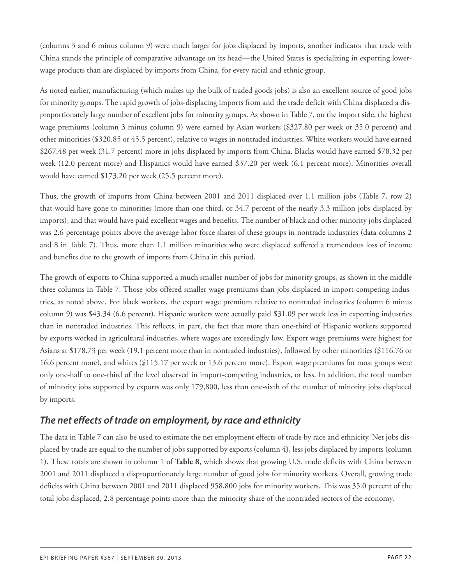(columns 3 and 6 minus column 9) were much larger for jobs displaced by imports, another indicator that trade with China stands the principle of comparative advantage on its head—the United States is specializing in exporting lowerwage products than are displaced by imports from China, for every racial and ethnic group.

As noted earlier, manufacturing (which makes up the bulk of traded goods jobs) is also an excellent source of good jobs for minority groups. The rapid growth of jobs-displacing imports from and the trade deficit with China displaced a disproportionately large number of excellent jobs for minority groups. As shown in Table 7, on the import side, the highest wage premiums (column 3 minus column 9) were earned by Asian workers (\$327.80 per week or 35.0 percent) and other minorities (\$320.85 or 45.5 percent), relative to wages in nontraded industries. White workers would have earned \$267.48 per week (31.7 percent) more in jobs displaced by imports from China. Blacks would have earned \$78.32 per week (12.0 percent more) and Hispanics would have earned \$37.20 per week (6.1 percent more). Minorities overall would have earned \$173.20 per week (25.5 percent more).

Thus, the growth of imports from China between 2001 and 2011 displaced over 1.1 million jobs (Table 7, row 2) that would have gone to minorities (more than one third, or 34.7 percent of the nearly 3.3 million jobs displaced by imports), and that would have paid excellent wages and benefits. The number of black and other minority jobs displaced was 2.6 percentage points above the average labor force shares of these groups in nontrade industries (data columns 2 and 8 in Table 7). Thus, more than 1.1 million minorities who were displaced suffered a tremendous loss of income and benefits due to the growth of imports from China in this period.

The growth of exports to China supported a much smaller number of jobs for minority groups, as shown in the middle three columns in Table 7. Those jobs offered smaller wage premiums than jobs displaced in import-competing industries, as noted above. For black workers, the export wage premium relative to nontraded industries (column 6 minus column 9) was \$43.34 (6.6 percent). Hispanic workers were actually paid \$31.09 per week less in exporting industries than in nontraded industries. This reflects, in part, the fact that more than one-third of Hispanic workers supported by exports worked in agricultural industries, where wages are exceedingly low. Export wage premiums were highest for Asians at \$178.73 per week (19.1 percent more than in nontraded industries), followed by other minorities (\$116.76 or 16.6 percent more), and whites (\$115.17 per week or 13.6 percent more). Export wage premiums for most groups were only one-half to one-third of the level observed in import-competing industries, or less. In addition, the total number of minority jobs supported by exports was only 179,800, less than one-sixth of the number of minority jobs displaced by imports.

### *The net effects of trade on employment, by race and ethnicity*

The data in Table 7 can also be used to estimate the net employment effects of trade by race and ethnicity. Net jobs displaced by trade are equal to the number of jobs supported by exports (column 4), less jobs displaced by imports (column 1). These totals are shown in column 1 of **Table 8**, which shows that growing U.S. trade deficits with China between 2001 and 2011 displaced a disproportionately large number of good jobs for minority workers. Overall, growing trade deficits with China between 2001 and 2011 displaced 958,800 jobs for minority workers. This was 35.0 percent of the total jobs displaced, 2.8 percentage points more than the minority share of the nontraded sectors of the economy.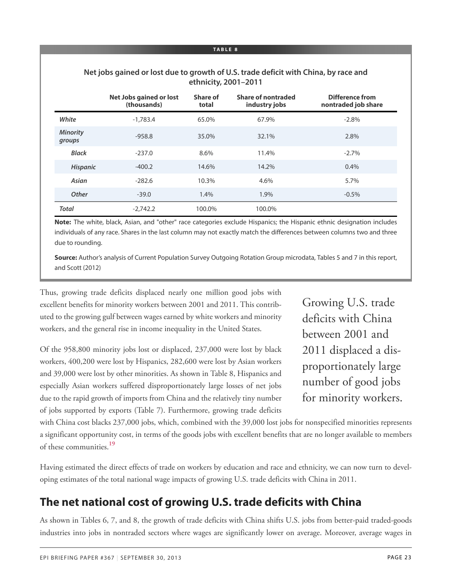### **Net jobs gained or lost due to growth of U.S. trade deficit with China, by race and ethnicity, 2001–2011**

|                           | <b>Net Jobs gained or lost</b><br>(thousands) | Share of<br>total | Share of nontraded<br>industry jobs | Difference from<br>nontraded job share |
|---------------------------|-----------------------------------------------|-------------------|-------------------------------------|----------------------------------------|
| White                     | $-1.783.4$                                    | 65.0%             | 67.9%                               | $-2.8%$                                |
| <b>Minority</b><br>groups | $-958.8$                                      | 35.0%             | 32.1%                               | 2.8%                                   |
| <b>Black</b>              | $-237.0$                                      | 8.6%              | 11.4%                               | $-2.7%$                                |
| <b>Hispanic</b>           | $-400.2$                                      | 14.6%             | 14.2%                               | $0.4\%$                                |
| Asian                     | $-282.6$                                      | 10.3%             | 4.6%                                | 5.7%                                   |
| Other                     | $-39.0$                                       | 1.4%              | 1.9%                                | $-0.5%$                                |
| <b>Total</b>              | $-2,742.2$                                    | 100.0%            | 100.0%                              |                                        |

**Note:** The white, black, Asian, and "other" race categories exclude Hispanics; the Hispanic ethnic designation includes individuals of any race. Shares in the last column may not exactly match the differences between columns two and three due to rounding.

**Source:** Author's analysis of Current Population Survey Outgoing Rotation Group microdata, Tables 5 and 7 in this report, and Scott (2012)

Thus, growing trade deficits displaced nearly one million good jobs with excellent benefits for minority workers between 2001 and 2011. This contributed to the growing gulf between wages earned by white workers and minority workers, and the general rise in income inequality in the United States.

Of the 958,800 minority jobs lost or displaced, 237,000 were lost by black workers, 400,200 were lost by Hispanics, 282,600 were lost by Asian workers and 39,000 were lost by other minorities. As shown in Table 8, Hispanics and especially Asian workers suffered disproportionately large losses of net jobs due to the rapid growth of imports from China and the relatively tiny number of jobs supported by exports (Table 7). Furthermore, growing trade deficits

Growing U.S. trade deficits with China between 2001 and 2011 displaced a disproportionately large number of good jobs for minority workers.

<span id="page-22-0"></span>with China cost blacks 237,000 jobs, which, combined with the 39,000 lost jobs for nonspecified minorities represents a significant opportunity cost, in terms of the goods jobs with excellent benefits that are no longer available to members of these communities. **[19](#page-35-10)**

Having estimated the direct effects of trade on workers by education and race and ethnicity, we can now turn to developing estimates of the total national wage impacts of growing U.S. trade deficits with China in 2011.

# **The net national cost of growing U.S. trade deficits with China**

As shown in Tables 6, 7, and 8, the growth of trade deficits with China shifts U.S. jobs from better-paid traded-goods industries into jobs in nontraded sectors where wages are significantly lower on average. Moreover, average wages in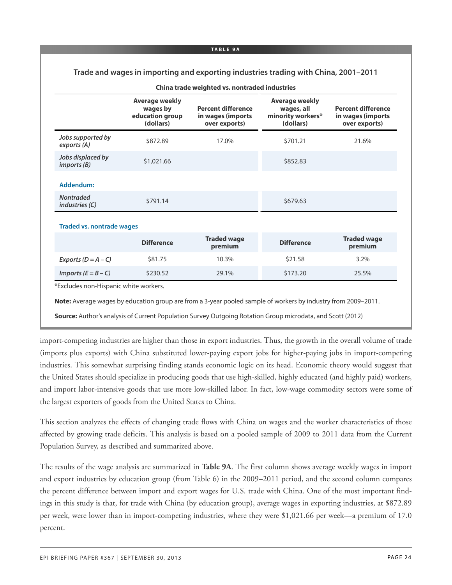#### **TA B L E 9A**

### **Trade and wages in importing and exporting industries trading with China, 2001–2011**

|                                           | <b>Average weekly</b><br>wages by<br>education group<br>(dollars) | <b>Percent difference</b><br>in wages (imports)<br>over exports) | <b>Average weekly</b><br>wages, all<br>minority workers*<br>(dollars) | <b>Percent difference</b><br>in wages (imports<br>over exports) |
|-------------------------------------------|-------------------------------------------------------------------|------------------------------------------------------------------|-----------------------------------------------------------------------|-----------------------------------------------------------------|
| Jobs supported by<br>exports (A)          | \$872.89                                                          | 17.0%                                                            | \$701.21                                                              | 21.6%                                                           |
| Jobs displaced by<br>imports(B)           | \$1,021.66                                                        |                                                                  | \$852.83                                                              |                                                                 |
| Addendum:                                 |                                                                   |                                                                  |                                                                       |                                                                 |
| <b>Nontraded</b><br><i>industries (C)</i> | \$791.14                                                          |                                                                  | \$679.63                                                              |                                                                 |
| <b>Traded vs. nontrade wages</b>          |                                                                   |                                                                  |                                                                       |                                                                 |
|                                           | <b>Difference</b>                                                 | <b>Traded wage</b><br>premium                                    | <b>Difference</b>                                                     | <b>Traded wage</b><br>premium                                   |
| Exports $(D = A - C)$                     | \$81.75                                                           | 10.3%                                                            | \$21.58                                                               | $3.2\%$                                                         |

|  |  | China trade weighted vs. nontraded industries |  |
|--|--|-----------------------------------------------|--|
|  |  |                                               |  |

\*Excludes non-Hispanic white workers.

**Note:** Average wages by education group are from a 3-year pooled sample of workers by industry from 2009–2011.

*Imports (E = B – C)* \$230.52 29.1% \$173.20 25.5%

**Source:** Author's analysis of Current Population Survey Outgoing Rotation Group microdata, and Scott (2012)

import-competing industries are higher than those in export industries. Thus, the growth in the overall volume of trade (imports plus exports) with China substituted lower-paying export jobs for higher-paying jobs in import-competing industries. This somewhat surprising finding stands economic logic on its head. Economic theory would suggest that the United States should specialize in producing goods that use high-skilled, highly educated (and highly paid) workers, and import labor-intensive goods that use more low-skilled labor. In fact, low-wage commodity sectors were some of the largest exporters of goods from the United States to China.

This section analyzes the effects of changing trade flows with China on wages and the worker characteristics of those affected by growing trade deficits. This analysis is based on a pooled sample of 2009 to 2011 data from the Current Population Survey, as described and summarized above.

The results of the wage analysis are summarized in **Table 9A**. The first column shows average weekly wages in import and export industries by education group (from Table 6) in the 2009–2011 period, and the second column compares the percent difference between import and export wages for U.S. trade with China. One of the most important findings in this study is that, for trade with China (by education group), average wages in exporting industries, at \$872.89 per week, were lower than in import-competing industries, where they were \$1,021.66 per week—a premium of 17.0 percent.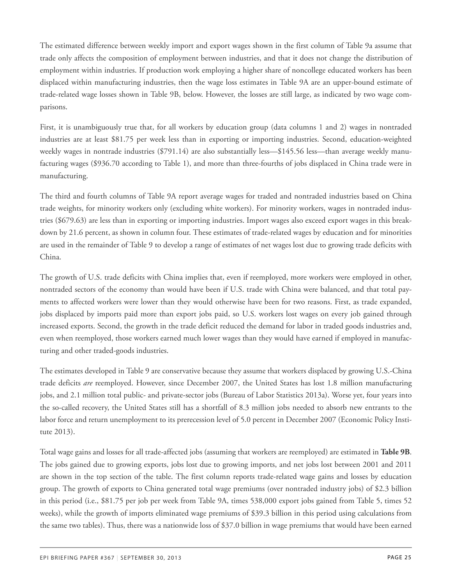The estimated difference between weekly import and export wages shown in the first column of Table 9a assume that trade only affects the composition of employment between industries, and that it does not change the distribution of employment within industries. If production work employing a higher share of noncollege educated workers has been displaced within manufacturing industries, then the wage loss estimates in Table 9A are an upper-bound estimate of trade-related wage losses shown in Table 9B, below. However, the losses are still large, as indicated by two wage comparisons.

First, it is unambiguously true that, for all workers by education group (data columns 1 and 2) wages in nontraded industries are at least \$81.75 per week less than in exporting or importing industries. Second, education-weighted weekly wages in nontrade industries (\$791.14) are also substantially less—\$145.56 less—than average weekly manufacturing wages (\$936.70 according to Table 1), and more than three-fourths of jobs displaced in China trade were in manufacturing.

The third and fourth columns of Table 9A report average wages for traded and nontraded industries based on China trade weights, for minority workers only (excluding white workers). For minority workers, wages in nontraded industries (\$679.63) are less than in exporting or importing industries. Import wages also exceed export wages in this breakdown by 21.6 percent, as shown in column four. These estimates of trade-related wages by education and for minorities are used in the remainder of Table 9 to develop a range of estimates of net wages lost due to growing trade deficits with China.

The growth of U.S. trade deficits with China implies that, even if reemployed, more workers were employed in other, nontraded sectors of the economy than would have been if U.S. trade with China were balanced, and that total payments to affected workers were lower than they would otherwise have been for two reasons. First, as trade expanded, jobs displaced by imports paid more than export jobs paid, so U.S. workers lost wages on every job gained through increased exports. Second, the growth in the trade deficit reduced the demand for labor in traded goods industries and, even when reemployed, those workers earned much lower wages than they would have earned if employed in manufacturing and other traded-goods industries.

The estimates developed in Table 9 are conservative because they assume that workers displaced by growing U.S.-China trade deficits *are* reemployed. However, since December 2007, the United States has lost 1.8 million manufacturing jobs, and 2.1 million total public- and private-sector jobs (Bureau of Labor Statistics 2013a). Worse yet, four years into the so-called recovery, the United States still has a shortfall of 8.3 million jobs needed to absorb new entrants to the labor force and return unemployment to its prerecession level of 5.0 percent in December 2007 (Economic Policy Institute 2013).

Total wage gains and losses for all trade-affected jobs (assuming that workers are reemployed) are estimated in **Table 9B**. The jobs gained due to growing exports, jobs lost due to growing imports, and net jobs lost between 2001 and 2011 are shown in the top section of the table. The first column reports trade-related wage gains and losses by education group. The growth of exports to China generated total wage premiums (over nontraded industry jobs) of \$2.3 billion in this period (i.e., \$81.75 per job per week from Table 9A, times 538,000 export jobs gained from Table 5, times 52 weeks), while the growth of imports eliminated wage premiums of \$39.3 billion in this period using calculations from the same two tables). Thus, there was a nationwide loss of \$37.0 billion in wage premiums that would have been earned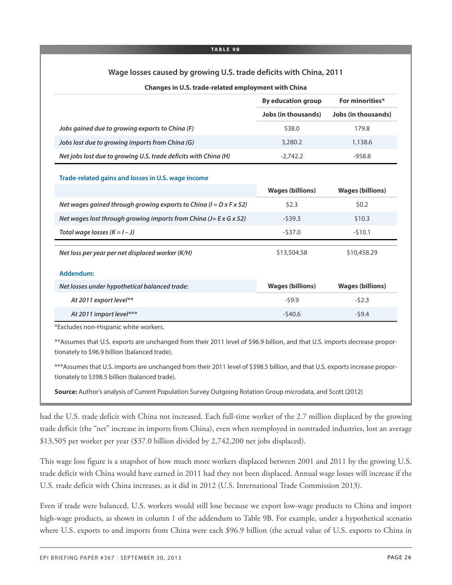#### **TA B L E 9B**

### **Wage losses caused by growing U.S. trade deficits with China, 2011**

#### **Changes in U.S. trade-related employment with China**

|                                                                                  | <b>By education group</b>  | For minorities*            |
|----------------------------------------------------------------------------------|----------------------------|----------------------------|
|                                                                                  | <b>Jobs (in thousands)</b> | <b>Jobs (in thousands)</b> |
| Jobs gained due to growing exports to China (F)                                  | 538.0                      | 179.8                      |
| Jobs lost due to growing imports from China (G)                                  | 3,280.2                    | 1,138.6                    |
| Net jobs lost due to growing U.S. trade deficits with China (H)                  | $-2,742.2$                 | $-958.8$                   |
| Trade-related gains and losses in U.S. wage income                               |                            |                            |
|                                                                                  | <b>Wages (billions)</b>    | <b>Wages (billions)</b>    |
| Net wages gained through growing exports to China ( $I = D \times F \times 52$ ) | \$2.3                      | \$0.2                      |
| Net wages lost through growing imports from China (J= E x G x 52)                | $-539.3$                   | \$10.3                     |
| Total wage losses $(K = I - J)$                                                  | $-537.0$                   | $-510.1$                   |
| Net loss per year per net displaced worker (K/H)                                 | \$13,504.58                | \$10,458.29                |
| Addendum:                                                                        |                            |                            |
| Net losses under hypothetical balanced trade:                                    | <b>Wages (billions)</b>    | <b>Wages (billions)</b>    |
| At 2011 export level**                                                           | $-59.9$                    | $-52.3$                    |
| At 2011 import level***                                                          | $-540.6$                   | $-59.4$                    |

\*Excludes non-Hispanic white workers.

\*\*Assumes that U.S. exports are unchanged from their 2011 level of \$96.9 billion, and that U.S. imports decrease proportionately to \$96.9 billion (balanced trade).

\*\*\*Assumes that U.S. imports are unchanged from their 2011 level of \$398.5 billion, and that U.S. exports increase proportionately to \$398.5 billion (balanced trade).

**Source:** Author's analysis of Current Population Survey Outgoing Rotation Group microdata, and Scott (2012)

had the U.S. trade deficit with China not increased. Each full-time worker of the 2.7 million displaced by the growing trade deficit (the "net" increase in imports from China), even when reemployed in nontraded industries, lost an average \$13,505 per worker per year (\$37.0 billion divided by 2,742,200 net jobs displaced).

This wage loss figure is a snapshot of how much more workers displaced between 2001 and 2011 by the growing U.S. trade deficit with China would have earned in 2011 had they not been displaced. Annual wage losses will increase if the U.S. trade deficit with China increases, as it did in 2012 (U.S. International Trade Commission 2013).

Even if trade were balanced, U.S. workers would still lose because we export low-wage products to China and import high-wage products, as shown in column 1 of the addendum to Table 9B. For example, under a hypothetical scenario where U.S. exports to and imports from China were each \$96.9 billion (the actual value of U.S. exports to China in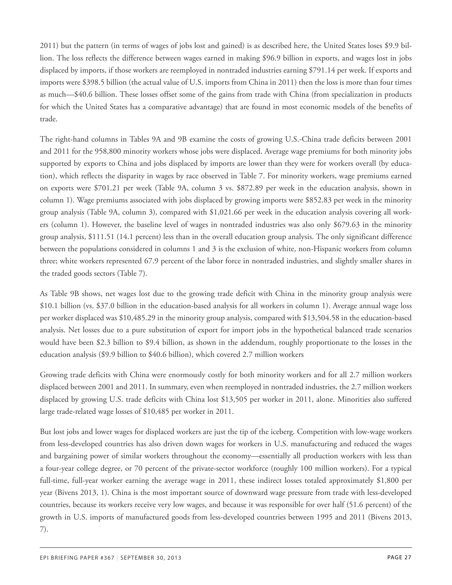2011) but the pattern (in terms of wages of jobs lost and gained) is as described here, the United States loses \$9.9 billion. The loss reflects the difference between wages earned in making \$96.9 billion in exports, and wages lost in jobs displaced by imports, if those workers are reemployed in nontraded industries earning \$791.14 per week. If exports and imports were \$398.5 billion (the actual value of U.S. imports from China in 2011) then the loss is more than four times as much—\$40.6 billion. These losses offset some of the gains from trade with China (from specialization in products for which the United States has a comparative advantage) that are found in most economic models of the benefits of trade.

The right-hand columns in Tables 9A and 9B examine the costs of growing U.S.-China trade deficits between 2001 and 2011 for the 958,800 minority workers whose jobs were displaced. Average wage premiums for both minority jobs supported by exports to China and jobs displaced by imports are lower than they were for workers overall (by education), which reflects the disparity in wages by race observed in Table 7. For minority workers, wage premiums earned on exports were \$701.21 per week (Table 9A, column 3 vs. \$872.89 per week in the education analysis, shown in column 1). Wage premiums associated with jobs displaced by growing imports were \$852.83 per week in the minority group analysis (Table 9A, column 3), compared with \$1,021.66 per week in the education analysis covering all workers (column 1). However, the baseline level of wages in nontraded industries was also only \$679.63 in the minority group analysis, \$111.51 (14.1 percent) less than in the overall education group analysis. The only significant difference between the populations considered in columns 1 and 3 is the exclusion of white, non-Hispanic workers from column three; white workers represented 67.9 percent of the labor force in nontraded industries, and slightly smaller shares in the traded goods sectors (Table 7).

As Table 9B shows, net wages lost due to the growing trade deficit with China in the minority group analysis were \$10.1 billion (vs. \$37.0 billion in the education-based analysis for all workers in column 1). Average annual wage loss per worker displaced was \$10,485.29 in the minority group analysis, compared with \$13,504.58 in the education-based analysis. Net losses due to a pure substitution of export for import jobs in the hypothetical balanced trade scenarios would have been \$2.3 billion to \$9.4 billion, as shown in the addendum, roughly proportionate to the losses in the education analysis (\$9.9 billion to \$40.6 billion), which covered 2.7 million workers

Growing trade deficits with China were enormously costly for both minority workers and for all 2.7 million workers displaced between 2001 and 2011. In summary, even when reemployed in nontraded industries, the 2.7 million workers displaced by growing U.S. trade deficits with China lost \$13,505 per worker in 2011, alone. Minorities also suffered large trade-related wage losses of \$10,485 per worker in 2011.

But lost jobs and lower wages for displaced workers are just the tip of the iceberg. Competition with low-wage workers from less-developed countries has also driven down wages for workers in U.S. manufacturing and reduced the wages and bargaining power of similar workers throughout the economy—essentially all production workers with less than a four-year college degree, or 70 percent of the private-sector workforce (roughly 100 million workers). For a typical full-time, full-year worker earning the average wage in 2011, these indirect losses totaled approximately \$1,800 per year (Bivens 2013, 1). China is the most important source of downward wage pressure from trade with less-developed countries, because its workers receive very low wages, and because it was responsible for over half (51.6 percent) of the growth in U.S. imports of manufactured goods from less-developed countries between 1995 and 2011 (Bivens 2013, 7).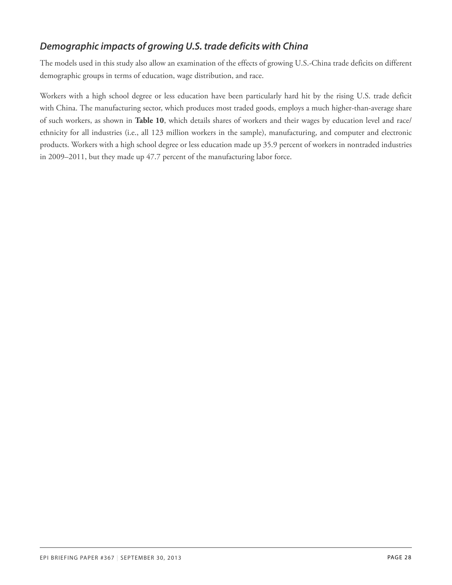### *Demographic impacts of growing U.S. trade deficits with China*

The models used in this study also allow an examination of the effects of growing U.S.-China trade deficits on different demographic groups in terms of education, wage distribution, and race.

Workers with a high school degree or less education have been particularly hard hit by the rising U.S. trade deficit with China. The manufacturing sector, which produces most traded goods, employs a much higher-than-average share of such workers, as shown in **Table 10**, which details shares of workers and their wages by education level and race/ ethnicity for all industries (i.e., all 123 million workers in the sample), manufacturing, and computer and electronic products. Workers with a high school degree or less education made up 35.9 percent of workers in nontraded industries in 2009–2011, but they made up 47.7 percent of the manufacturing labor force.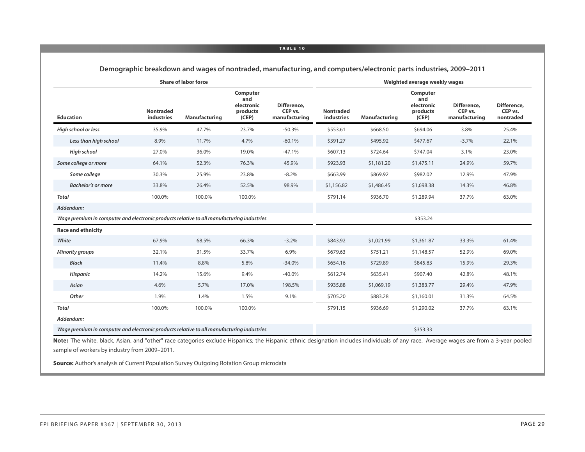|                                                                                           | <b>Share of labor force</b><br>Computer<br>and<br>electronic<br><b>Nontraded</b><br>products<br>industries<br>(CEP)<br>Manufacturing<br>47.7%<br>35.9%<br>23.7% |        |        |                                         |                                |               | Weighted average weekly wages                      |                                         |                                     |
|-------------------------------------------------------------------------------------------|-----------------------------------------------------------------------------------------------------------------------------------------------------------------|--------|--------|-----------------------------------------|--------------------------------|---------------|----------------------------------------------------|-----------------------------------------|-------------------------------------|
| <b>Education</b>                                                                          |                                                                                                                                                                 |        |        | Difference,<br>CEP vs.<br>manufacturing | <b>Nontraded</b><br>industries | Manufacturing | Computer<br>and<br>electronic<br>products<br>(CEP) | Difference,<br>CEP vs.<br>manufacturing | Difference,<br>CEP vs.<br>nontraded |
| High school or less                                                                       |                                                                                                                                                                 |        |        | $-50.3%$                                | \$553.61                       | \$668.50      | \$694.06                                           | 3.8%                                    | 25.4%                               |
| Less than high school                                                                     | 8.9%                                                                                                                                                            | 11.7%  | 4.7%   | $-60.1%$                                | \$391.27                       | \$495.92      | \$477.67                                           | $-3.7%$                                 | 22.1%                               |
| High school                                                                               | 27.0%                                                                                                                                                           | 36.0%  | 19.0%  | $-47.1%$                                | \$607.13                       | \$724.64      | \$747.04                                           | 3.1%                                    | 23.0%                               |
| Some college or more                                                                      | 64.1%                                                                                                                                                           | 52.3%  | 76.3%  | 45.9%                                   | \$923.93                       | \$1,181.20    | \$1,475.11                                         | 24.9%                                   | 59.7%                               |
| Some college                                                                              | 30.3%                                                                                                                                                           | 25.9%  | 23.8%  | $-8.2%$                                 | \$663.99                       | \$869.92      | \$982.02                                           | 12.9%                                   | 47.9%                               |
| <b>Bachelor's or more</b>                                                                 | 33.8%                                                                                                                                                           | 26.4%  | 52.5%  | 98.9%                                   | \$1,156.82                     | \$1,486.45    | \$1,698.38                                         | 14.3%                                   | 46.8%                               |
| <b>Total</b>                                                                              | 100.0%                                                                                                                                                          | 100.0% | 100.0% |                                         | \$791.14                       | \$936.70      | \$1,289.94                                         | 37.7%                                   | 63.0%                               |
| Addendum:                                                                                 |                                                                                                                                                                 |        |        |                                         |                                |               |                                                    |                                         |                                     |
| Wage premium in computer and electronic products relative to all manufacturing industries |                                                                                                                                                                 |        |        |                                         |                                |               | \$353.24                                           |                                         |                                     |
| <b>Race and ethnicity</b>                                                                 |                                                                                                                                                                 |        |        |                                         |                                |               |                                                    |                                         |                                     |
| White                                                                                     | 67.9%                                                                                                                                                           | 68.5%  | 66.3%  | $-3.2%$                                 | \$843.92                       | \$1,021.99    | \$1,361.87                                         | 33.3%                                   | 61.4%                               |
| <b>Minority groups</b>                                                                    | 32.1%                                                                                                                                                           | 31.5%  | 33.7%  | 6.9%                                    | \$679.63                       | \$751.21      | \$1,148.57                                         | 52.9%                                   | 69.0%                               |
| <b>Black</b>                                                                              | 11.4%                                                                                                                                                           | 8.8%   | 5.8%   | $-34.0%$                                | \$654.16                       | \$729.89      | \$845.83                                           | 15.9%                                   | 29.3%                               |
| Hispanic                                                                                  | 14.2%                                                                                                                                                           | 15.6%  | 9.4%   | $-40.0\%$                               | \$612.74                       | \$635.41      | \$907.40                                           | 42.8%                                   | 48.1%                               |
| Asian                                                                                     | 4.6%                                                                                                                                                            | 5.7%   | 17.0%  | 198.5%                                  | \$935.88                       | \$1,069.19    | \$1,383.77                                         | 29.4%                                   | 47.9%                               |
| Other                                                                                     | 1.9%                                                                                                                                                            | 1.4%   | 1.5%   | 9.1%                                    | \$705.20                       | \$883.28      | \$1,160.01                                         | 31.3%                                   | 64.5%                               |
| <b>Total</b>                                                                              | 100.0%                                                                                                                                                          | 100.0% | 100.0% |                                         | \$791.15                       | \$936.69      | \$1,290.02                                         | 37.7%                                   | 63.1%                               |
| Addendum:                                                                                 |                                                                                                                                                                 |        |        |                                         |                                |               |                                                    |                                         |                                     |
| Wage premium in computer and electronic products relative to all manufacturing industries |                                                                                                                                                                 |        |        |                                         |                                |               | \$353.33                                           |                                         |                                     |

**Demographic breakdown and wages of nontraded, manufacturing, and computers/electronic parts industries, 2009–2011**

**Note:** The white, black, Asian, and "other" race categories exclude Hispanics; the Hispanic ethnic designation includes individuals of any race. Average wages are from a 3-year pooled sample of workers by industry from 2009–2011.

**Source:** Author's analysis of Current Population Survey Outgoing Rotation Group microdata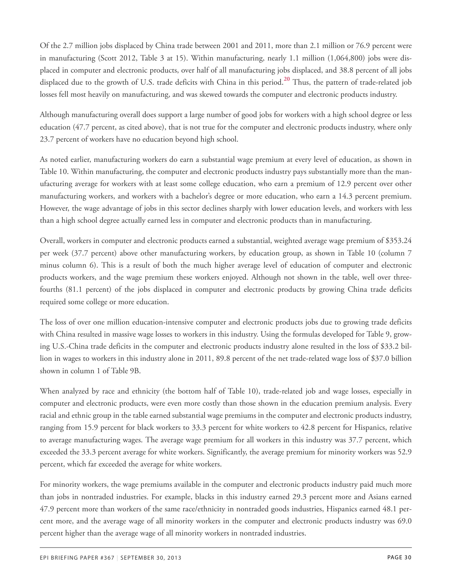<span id="page-29-0"></span>Of the 2.7 million jobs displaced by China trade between 2001 and 2011, more than 2.1 million or 76.9 percent were in manufacturing (Scott 2012, Table 3 at 15). Within manufacturing, nearly 1.1 million (1,064,800) jobs were displaced in computer and electronic products, over half of all manufacturing jobs displaced, and 38.8 percent of all jobs displaced due to the growth of U.S. trade deficits with China in this period. **[20](#page-36-0)** Thus, the pattern of trade-related job losses fell most heavily on manufacturing, and was skewed towards the computer and electronic products industry.

Although manufacturing overall does support a large number of good jobs for workers with a high school degree or less education (47.7 percent, as cited above), that is not true for the computer and electronic products industry, where only 23.7 percent of workers have no education beyond high school.

As noted earlier, manufacturing workers do earn a substantial wage premium at every level of education, as shown in Table 10. Within manufacturing, the computer and electronic products industry pays substantially more than the manufacturing average for workers with at least some college education, who earn a premium of 12.9 percent over other manufacturing workers, and workers with a bachelor's degree or more education, who earn a 14.3 percent premium. However, the wage advantage of jobs in this sector declines sharply with lower education levels, and workers with less than a high school degree actually earned less in computer and electronic products than in manufacturing.

Overall, workers in computer and electronic products earned a substantial, weighted average wage premium of \$353.24 per week (37.7 percent) above other manufacturing workers, by education group, as shown in Table 10 (column 7 minus column 6). This is a result of both the much higher average level of education of computer and electronic products workers, and the wage premium these workers enjoyed. Although not shown in the table, well over threefourths (81.1 percent) of the jobs displaced in computer and electronic products by growing China trade deficits required some college or more education.

The loss of over one million education-intensive computer and electronic products jobs due to growing trade deficits with China resulted in massive wage losses to workers in this industry. Using the formulas developed for Table 9, growing U.S.-China trade deficits in the computer and electronic products industry alone resulted in the loss of \$33.2 billion in wages to workers in this industry alone in 2011, 89.8 percent of the net trade-related wage loss of \$37.0 billion shown in column 1 of Table 9B.

When analyzed by race and ethnicity (the bottom half of Table 10), trade-related job and wage losses, especially in computer and electronic products, were even more costly than those shown in the education premium analysis. Every racial and ethnic group in the table earned substantial wage premiums in the computer and electronic products industry, ranging from 15.9 percent for black workers to 33.3 percent for white workers to 42.8 percent for Hispanics, relative to average manufacturing wages. The average wage premium for all workers in this industry was 37.7 percent, which exceeded the 33.3 percent average for white workers. Significantly, the average premium for minority workers was 52.9 percent, which far exceeded the average for white workers.

For minority workers, the wage premiums available in the computer and electronic products industry paid much more than jobs in nontraded industries. For example, blacks in this industry earned 29.3 percent more and Asians earned 47.9 percent more than workers of the same race/ethnicity in nontraded goods industries, Hispanics earned 48.1 percent more, and the average wage of all minority workers in the computer and electronic products industry was 69.0 percent higher than the average wage of all minority workers in nontraded industries.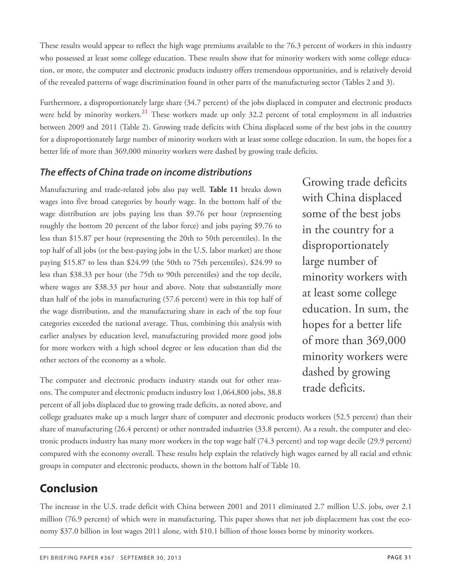These results would appear to reflect the high wage premiums available to the 76.3 percent of workers in this industry who possessed at least some college education. These results show that for minority workers with some college education, or more, the computer and electronic products industry offers tremendous opportunities, and is relatively devoid of the revealed patterns of wage discrimination found in other parts of the manufacturing sector (Tables 2 and 3).

<span id="page-30-0"></span>Furthermore, a disproportionately large share (34.7 percent) of the jobs displaced in computer and electronic products were held by minority workers. **[21](#page-36-1)** These workers made up only 32.2 percent of total employment in all industries between 2009 and 2011 (Table 2). Growing trade deficits with China displaced some of the best jobs in the country for a disproportionately large number of minority workers with at least some college education. In sum, the hopes for a better life of more than 369,000 minority workers were dashed by growing trade deficits.

### *The effects of China trade on income distributions*

Manufacturing and trade-related jobs also pay well. **Table 11** breaks down wages into five broad categories by hourly wage. In the bottom half of the wage distribution are jobs paying less than \$9.76 per hour (representing roughly the bottom 20 percent of the labor force) and jobs paying \$9.76 to less than \$15.87 per hour (representing the 20th to 50th percentiles). In the top half of all jobs (or the best-paying jobs in the U.S. labor market) are those paying \$15.87 to less than \$24.99 (the 50th to 75th percentiles), \$24.99 to less than \$38.33 per hour (the 75th to 90th percentiles) and the top decile, where wages are \$38.33 per hour and above. Note that substantially more than half of the jobs in manufacturing (57.6 percent) were in this top half of the wage distribution, and the manufacturing share in each of the top four categories exceeded the national average. Thus, combining this analysis with earlier analyses by education level, manufacturing provided more good jobs for more workers with a high school degree or less education than did the other sectors of the economy as a whole.

The computer and electronic products industry stands out for other reasons. The computer and electronic products industry lost 1,064,800 jobs, 38.8 percent of all jobs displaced due to growing trade deficits, as noted above, and

Growing trade deficits with China displaced some of the best jobs in the country for a disproportionately large number of minority workers with at least some college education. In sum, the hopes for a better life of more than 369,000 minority workers were dashed by growing trade deficits.

college graduates make up a much larger share of computer and electronic products workers (52.5 percent) than their share of manufacturing (26.4 percent) or other nontraded industries (33.8 percent). As a result, the computer and electronic products industry has many more workers in the top wage half (74.3 percent) and top wage decile (29.9 percent) compared with the economy overall. These results help explain the relatively high wages earned by all racial and ethnic groups in computer and electronic products, shown in the bottom half of Table 10.

# **Conclusion**

The increase in the U.S. trade deficit with China between 2001 and 2011 eliminated 2.7 million U.S. jobs, over 2.1 million (76.9 percent) of which were in manufacturing. This paper shows that net job displacement has cost the economy \$37.0 billion in lost wages 2011 alone, with \$10.1 billion of those losses borne by minority workers.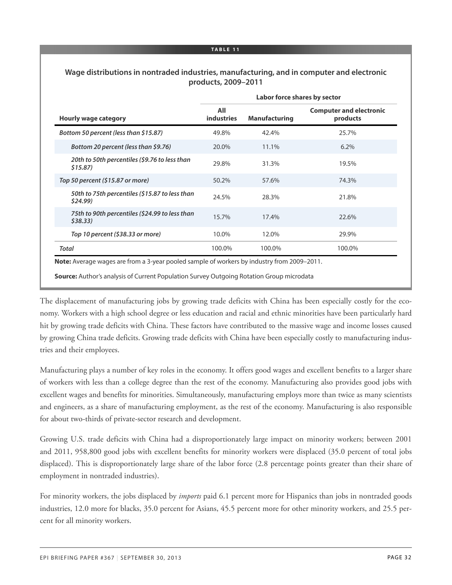### **Wage distributions in nontraded industries, manufacturing, and in computer and electronic products, 2009–2011**

|                                                           | Labor force shares by sector |                      |                                            |
|-----------------------------------------------------------|------------------------------|----------------------|--------------------------------------------|
| <b>Hourly wage category</b>                               | All<br><b>industries</b>     | <b>Manufacturing</b> | <b>Computer and electronic</b><br>products |
| Bottom 50 percent (less than \$15.87)                     | 49.8%                        | 42.4%                | 25.7%                                      |
| Bottom 20 percent (less than \$9.76)                      | 20.0%                        | 11.1%                | 6.2%                                       |
| 20th to 50th percentiles (\$9.76 to less than<br>\$15.87  | 29.8%                        | 31.3%                | 19.5%                                      |
| Top 50 percent (\$15.87 or more)                          | 50.2%                        | 57.6%                | 74.3%                                      |
| 50th to 75th percentiles (\$15.87 to less than<br>\$24.99 | 24.5%                        | 28.3%                | 21.8%                                      |
| 75th to 90th percentiles (\$24.99 to less than<br>\$38.33 | 15.7%                        | 17.4%                | 22.6%                                      |
| Top 10 percent (\$38.33 or more)                          | 10.0%                        | 12.0%                | 29.9%                                      |
| Total                                                     | 100.0%                       | 100.0%               | 100.0%                                     |

**Source:** Author's analysis of Current Population Survey Outgoing Rotation Group microdata

The displacement of manufacturing jobs by growing trade deficits with China has been especially costly for the economy. Workers with a high school degree or less education and racial and ethnic minorities have been particularly hard hit by growing trade deficits with China. These factors have contributed to the massive wage and income losses caused by growing China trade deficits. Growing trade deficits with China have been especially costly to manufacturing industries and their employees.

Manufacturing plays a number of key roles in the economy. It offers good wages and excellent benefits to a larger share of workers with less than a college degree than the rest of the economy. Manufacturing also provides good jobs with excellent wages and benefits for minorities. Simultaneously, manufacturing employs more than twice as many scientists and engineers, as a share of manufacturing employment, as the rest of the economy. Manufacturing is also responsible for about two-thirds of private-sector research and development.

Growing U.S. trade deficits with China had a disproportionately large impact on minority workers; between 2001 and 2011, 958,800 good jobs with excellent benefits for minority workers were displaced (35.0 percent of total jobs displaced). This is disproportionately large share of the labor force (2.8 percentage points greater than their share of employment in nontraded industries).

For minority workers, the jobs displaced by *imports* paid 6.1 percent more for Hispanics than jobs in nontraded goods industries, 12.0 more for blacks, 35.0 percent for Asians, 45.5 percent more for other minority workers, and 25.5 percent for all minority workers.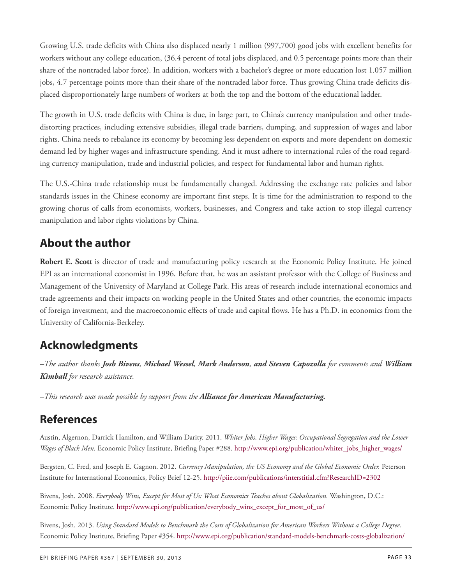Growing U.S. trade deficits with China also displaced nearly 1 million (997,700) good jobs with excellent benefits for workers without any college education, (36.4 percent of total jobs displaced, and 0.5 percentage points more than their share of the nontraded labor force). In addition, workers with a bachelor's degree or more education lost 1.057 million jobs, 4.7 percentage points more than their share of the nontraded labor force. Thus growing China trade deficits displaced disproportionately large numbers of workers at both the top and the bottom of the educational ladder.

The growth in U.S. trade deficits with China is due, in large part, to China's currency manipulation and other tradedistorting practices, including extensive subsidies, illegal trade barriers, dumping, and suppression of wages and labor rights. China needs to rebalance its economy by becoming less dependent on exports and more dependent on domestic demand led by higher wages and infrastructure spending. And it must adhere to international rules of the road regarding currency manipulation, trade and industrial policies, and respect for fundamental labor and human rights.

The U.S.-China trade relationship must be fundamentally changed. Addressing the exchange rate policies and labor standards issues in the Chinese economy are important first steps. It is time for the administration to respond to the growing chorus of calls from economists, workers, businesses, and Congress and take action to stop illegal currency manipulation and labor rights violations by China.

# **About the author**

**Robert E. Scott** is director of trade and manufacturing policy research at the Economic Policy Institute. He joined EPI as an international economist in 1996. Before that, he was an assistant professor with the College of Business and Management of the University of Maryland at College Park. His areas of research include international economics and trade agreements and their impacts on working people in the United States and other countries, the economic impacts of foreign investment, and the macroeconomic effects of trade and capital flows. He has a Ph.D. in economics from the University of California-Berkeley.

# **Acknowledgments**

-The author thanks Josh Bivens, Michael Wessel, Mark Anderson, and Steven Capozolla for comments and William *Kimball for research assistance.*

*–This research was made possible by support from the Alliance for American Manufacturing.*

### **References**

Austin, Algernon, Darrick Hamilton, and William Darity. 2011. *Whiter Jobs, Higher Wages: Occupational Segregation and the Lower Wages of Black Men.* Economic Policy Institute, Briefing Paper #288. [http://www.epi.org/publication/whiter\\_jobs\\_higher\\_wages/](http://www.epi.org/publication/whiter_jobs_higher_wages/)

Bergsten, C. Fred, and Joseph E. Gagnon. 2012. *Currency Manipulation, the US Economy and the Global Economic Order.* Peterson Institute for International Economics, Policy Brief 12-25. <http://piie.com/publications/interstitial.cfm?ResearchID=2302>

Bivens, Josh. 2008. *Everybody Wins, Except for Most of Us: What Economics Teaches about Globalization.* Washington, D.C.: Economic Policy Institute. [http://www.epi.org/publication/everybody\\_wins\\_except\\_for\\_most\\_of\\_us/](http://www.epi.org/publication/everybody_wins_except_for_most_of_us/)

Bivens, Josh. 2013. *Using Standard Models to Benchmark the Costs of Globalization for American Workers Without a College Degree.* Economic Policy Institute, Briefing Paper #354. <http://www.epi.org/publication/standard-models-benchmark-costs-globalization/>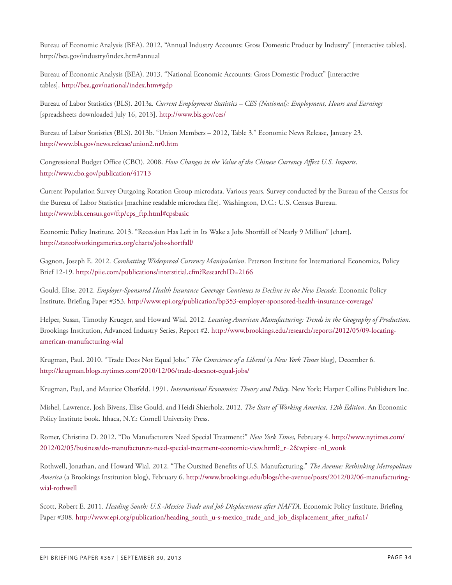Bureau of Economic Analysis (BEA). 2012. "Annual Industry Accounts: Gross Domestic Product by Industry" [interactive tables]. http://bea.gov/industry/index.htm#annual

Bureau of Economic Analysis (BEA). 2013. "National Economic Accounts: Gross Domestic Product" [interactive tables]. <http://bea.gov/national/index.htm#gdp>

Bureau of Labor Statistics (BLS). 2013a. *Current Employment Statistics – CES (National): Employment, Hours and Earnings* [spreadsheets downloaded July 16, 2013]. <http://www.bls.gov/ces/>

Bureau of Labor Statistics (BLS). 2013b. "Union Members – 2012, Table 3." Economic News Release, January 23. <http://www.bls.gov/news.release/union2.nr0.htm>

Congressional Budget Office (CBO). 2008. *How Changes in the Value of the Chinese Currency Affect U.S. Imports*. <http://www.cbo.gov/publication/41713>

Current Population Survey Outgoing Rotation Group microdata. Various years. Survey conducted by the Bureau of the Census for the Bureau of Labor Statistics [machine readable microdata file]. Washington, D.C.: U.S. Census Bureau. [http://www.bls.census.gov/ftp/cps\\_ftp.html#cpsbasic](http://www.bls.census.gov/ftp/cps_ftp.html#cpsbasic)

Economic Policy Institute. 2013. "Recession Has Left in Its Wake a Jobs Shortfall of Nearly 9 Million" [chart]. <http://stateofworkingamerica.org/charts/jobs-shortfall/>

Gagnon, Joseph E. 2012. *Combatting Widespread Currency Manipulation*. Peterson Institute for International Economics, Policy Brief 12-19. <http://piie.com/publications/interstitial.cfm?ResearchID=2166>

Gould, Elise. 2012. *Employer-Sponsored Health Insurance Coverage Continues to Decline in the New Decade.* Economic Policy Institute, Briefing Paper #353. <http://www.epi.org/publication/bp353-employer-sponsored-health-insurance-coverage/>

Helper, Susan, Timothy Krueger, and Howard Wial. 2012. *Locating American Manufacturing: Trends in the Geography of Production.* Brookings Institution, Advanced Industry Series, Report #2. [http://www.brookings.edu/research/reports/2012/05/09-locating](http://www.brookings.edu/research/reports/2012/05/09-locating-american-manufacturing-wial)[american-manufacturing-wial](http://www.brookings.edu/research/reports/2012/05/09-locating-american-manufacturing-wial)

Krugman, Paul. 2010. "Trade Does Not Equal Jobs." *The Conscience of a Liberal* (a *New York Times* blog), December 6. <http://krugman.blogs.nytimes.com/2010/12/06/trade-doesnot-equal-jobs/>

Krugman, Paul, and Maurice Obstfeld. 1991. *International Economics: Theory and Policy*. New York: Harper Collins Publishers Inc.

Mishel, Lawrence, Josh Bivens, Elise Gould, and Heidi Shierholz. 2012. *The State of Working America, 12th Edition*. An Economic Policy Institute book. Ithaca, N.Y.: Cornell University Press.

Romer, Christina D. 2012. "Do Manufacturers Need Special Treatment?" *New York Times,* February 4. [http://www.nytimes.com/](http://www.nytimes.com/2012/02/05/business/do-manufacturers-need-special-treatment-economic-view.html?_r=2&wpisrc=nl_wonk) [2012/02/05/business/do-manufacturers-need-special-treatment-economic-view.html?\\_r=2&wpisrc=nl\\_wonk](http://www.nytimes.com/2012/02/05/business/do-manufacturers-need-special-treatment-economic-view.html?_r=2&wpisrc=nl_wonk)

Rothwell, Jonathan, and Howard Wial. 2012. "The Outsized Benefits of U.S. Manufacturing." *The Avenue: Rethinking Metropolitan America* (a Brookings Institution blog), February 6. [http://www.brookings.edu/blogs/the-avenue/posts/2012/02/06-manufacturing](http://www.brookings.edu/blogs/the-avenue/posts/2012/02/06-manufacturing-wial-rothwell)[wial-rothwell](http://www.brookings.edu/blogs/the-avenue/posts/2012/02/06-manufacturing-wial-rothwell)

Scott, Robert E. 2011. *Heading South: U.S.-Mexico Trade and Job Displacement after NAFTA*. Economic Policy Institute, Briefing Paper #308. [http://www.epi.org/publication/heading\\_south\\_u-s-mexico\\_trade\\_and\\_job\\_displacement\\_after\\_nafta1/](http://www.epi.org/publication/heading_south_u-s-mexico_trade_and_job_displacement_after_nafta1/)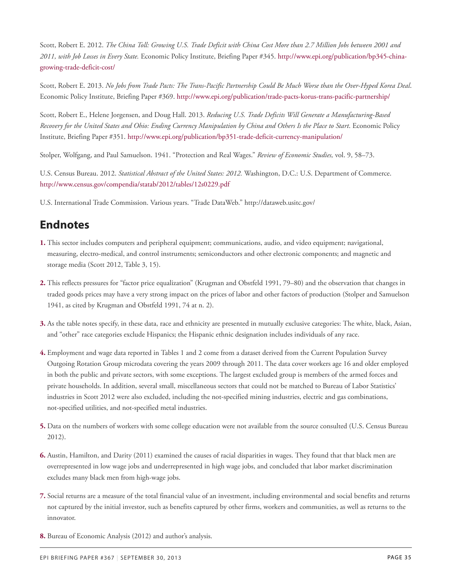Scott, Robert E. 2012. *The China Toll: Growing U.S. Trade Deficit with China Cost More than 2.7 Million Jobs between 2001 and 2011, with Job Losses in Every State.* Economic Policy Institute, Briefing Paper #345. [http://www.epi.org/publication/bp345-china](http://www.epi.org/publication/bp345-china-growing-trade-deficit-cost/)[growing-trade-deficit-cost/](http://www.epi.org/publication/bp345-china-growing-trade-deficit-cost/)

Scott, Robert E. 2013. *No Jobs from Trade Pacts: The Trans-Pacific Partnership Could Be Much Worse than the Over-Hyped Korea Deal*. Economic Policy Institute, Briefing Paper #369. <http://www.epi.org/publication/trade-pacts-korus-trans-pacific-partnership/>

Scott, Robert E., Helene Jorgensen, and Doug Hall. 2013. *Reducing U.S. Trade Deficits Will Generate a Manufacturing-Based Recovery for the United States and Ohio: Ending Currency Manipulation by China and Others Is the Place to Start*. Economic Policy Institute, Briefing Paper #351. <http://www.epi.org/publication/bp351-trade-deficit-currency-manipulation/>

Stolper, Wolfgang, and Paul Samuelson. 1941. "Protection and Real Wages." *Review of Economic Studies,* vol. 9, 58–73.

U.S. Census Bureau. 2012. *Statistical Abstract of the United States: 2012.* Washington, D.C.: U.S. Department of Commerce. <http://www.census.gov/compendia/statab/2012/tables/12s0229.pdf>

U.S. International Trade Commission. Various years. "Trade DataWeb." http://dataweb.usitc.gov/

### **Endnotes**

- <span id="page-34-0"></span>**[1.](#page-1-0)** This sector includes computers and peripheral equipment; communications, audio, and video equipment; navigational, measuring, electro-medical, and control instruments; semiconductors and other electronic components; and magnetic and storage media (Scott 2012, Table 3, 15).
- <span id="page-34-1"></span>**[2.](#page-3-0)** This reflects pressures for "factor price equalization" (Krugman and Obstfeld 1991, 79–80) and the observation that changes in traded goods prices may have a very strong impact on the prices of labor and other factors of production (Stolper and Samuelson 1941, as cited by Krugman and Obstfeld 1991, 74 at n. 2).
- <span id="page-34-2"></span>**[3.](#page-4-0)** As the table notes specify, in these data, race and ethnicity are presented in mutually exclusive categories: The white, black, Asian, and "other" race categories exclude Hispanics; the Hispanic ethnic designation includes individuals of any race.
- <span id="page-34-3"></span>**[4.](#page-5-0)** Employment and wage data reported in Tables 1 and 2 come from a dataset derived from the Current Population Survey Outgoing Rotation Group microdata covering the years 2009 through 2011. The data cover workers age 16 and older employed in both the public and private sectors, with some exceptions. The largest excluded group is members of the armed forces and private households. In addition, several small, miscellaneous sectors that could not be matched to Bureau of Labor Statistics' industries in Scott 2012 were also excluded, including the not-specified mining industries, electric and gas combinations, not-specified utilities, and not-specified metal industries.
- <span id="page-34-4"></span>**[5.](#page-7-0)** Data on the numbers of workers with some college education were not available from the source consulted (U.S. Census Bureau 2012).
- <span id="page-34-5"></span>**[6.](#page-7-1)** Austin, Hamilton, and Darity (2011) examined the causes of racial disparities in wages. They found that that black men are overrepresented in low wage jobs and underrepresented in high wage jobs, and concluded that labor market discrimination excludes many black men from high-wage jobs.
- <span id="page-34-6"></span>**[7.](#page-9-0)** Social returns are a measure of the total financial value of an investment, including environmental and social benefits and returns not captured by the initial investor, such as benefits captured by other firms, workers and communities, as well as returns to the innovator.
- <span id="page-34-7"></span>**[8.](#page-10-0)** Bureau of Economic Analysis (2012) and author's analysis.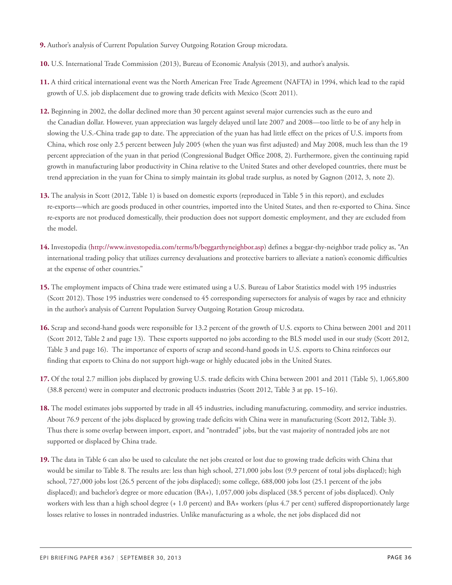- <span id="page-35-0"></span>**[9.](#page-10-1)** Author's analysis of Current Population Survey Outgoing Rotation Group microdata.
- <span id="page-35-1"></span>**[10.](#page-10-2)** U.S. International Trade Commission (2013), Bureau of Economic Analysis (2013), and author's analysis.
- <span id="page-35-2"></span>**[11.](#page-11-0)** A third critical international event was the North American Free Trade Agreement (NAFTA) in 1994, which lead to the rapid growth of U.S. job displacement due to growing trade deficits with Mexico (Scott 2011).
- <span id="page-35-3"></span>**[12.](#page-11-1)** Beginning in 2002, the dollar declined more than 30 percent against several major currencies such as the euro and the Canadian dollar. However, yuan appreciation was largely delayed until late 2007 and 2008—too little to be of any help in slowing the U.S.-China trade gap to date. The appreciation of the yuan has had little effect on the prices of U.S. imports from China, which rose only 2.5 percent between July 2005 (when the yuan was first adjusted) and May 2008, much less than the 19 percent appreciation of the yuan in that period (Congressional Budget Office 2008, 2). Furthermore, given the continuing rapid growth in manufacturing labor productivity in China relative to the United States and other developed countries, there must be trend appreciation in the yuan for China to simply maintain its global trade surplus, as noted by Gagnon (2012, 3, note 2).
- <span id="page-35-4"></span>**[13.](#page-13-0)** The analysis in Scott (2012, Table 1) is based on domestic exports (reproduced in Table 5 in this report), and excludes re-exports—which are goods produced in other countries, imported into the United States, and then re-exported to China. Since re-exports are not produced domestically, their production does not support domestic employment, and they are excluded from the model.
- <span id="page-35-5"></span>**[14.](#page-14-0)** Investopedia [\(http://www.investopedia.com/terms/b/beggarthyneighbor.asp\)](http://www.investopedia.com/terms/b/beggarthyneighbor.asp) defines a beggar-thy-neighbor trade policy as, "An international trading policy that utilizes currency devaluations and protective barriers to alleviate a nation's economic difficulties at the expense of other countries."
- <span id="page-35-6"></span>**[15.](#page-16-0)** The employment impacts of China trade were estimated using a U.S. Bureau of Labor Statistics model with 195 industries (Scott 2012). Those 195 industries were condensed to 45 corresponding supersectors for analysis of wages by race and ethnicity in the author's analysis of Current Population Survey Outgoing Rotation Group microdata.
- <span id="page-35-7"></span>**[16.](#page-16-1)** Scrap and second-hand goods were responsible for 13.2 percent of the growth of U.S. exports to China between 2001 and 2011 (Scott 2012, Table 2 and page 13). These exports supported no jobs according to the BLS model used in our study (Scott 2012, Table 3 and page 16). The importance of exports of scrap and second-hand goods in U.S. exports to China reinforces our finding that exports to China do not support high-wage or highly educated jobs in the United States.
- <span id="page-35-8"></span>**[17.](#page-17-0)** Of the total 2.7 million jobs displaced by growing U.S. trade deficits with China between 2001 and 2011 (Table 5), 1,065,800 (38.8 percent) were in computer and electronic products industries (Scott 2012, Table 3 at pp. 15–16).
- <span id="page-35-9"></span>**[18.](#page-20-0)** The model estimates jobs supported by trade in all 45 industries, including manufacturing, commodity, and service industries. About 76.9 percent of the jobs displaced by growing trade deficits with China were in manufacturing (Scott 2012, Table 3). Thus there is some overlap between import, export, and "nontraded" jobs, but the vast majority of nontraded jobs are not supported or displaced by China trade.
- <span id="page-35-10"></span>**[19.](#page-22-0)** The data in Table 6 can also be used to calculate the net jobs created or lost due to growing trade deficits with China that would be similar to Table 8. The results are: less than high school, 271,000 jobs lost (9.9 percent of total jobs displaced); high school, 727,000 jobs lost (26.5 percent of the jobs displaced); some college, 688,000 jobs lost (25.1 percent of the jobs displaced); and bachelor's degree or more education (BA+), 1,057,000 jobs displaced (38.5 percent of jobs displaced). Only workers with less than a high school degree (+ 1.0 percent) and BA+ workers (plus 4.7 per cent) suffered disproportionately large losses relative to losses in nontraded industries. Unlike manufacturing as a whole, the net jobs displaced did not